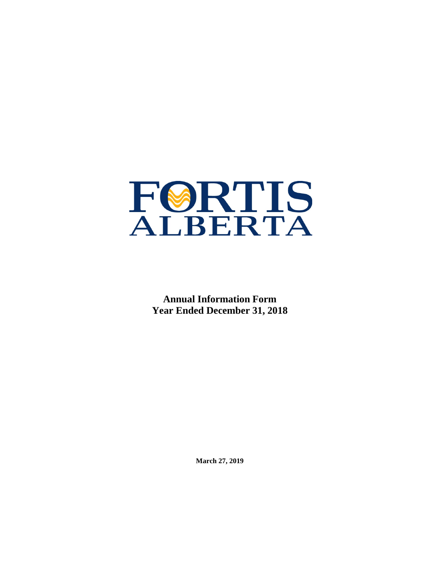

**Annual Information Form Year Ended December 31, 2018**

**March 27, 2019**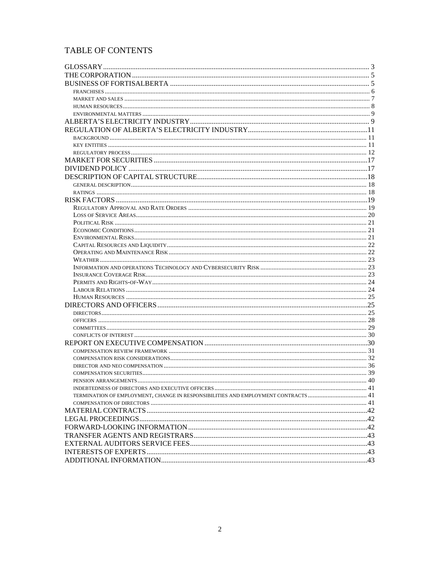# TABLE OF CONTENTS

| TERMINATION OF EMPLOYMENT, CHANGE IN RESPONSIBILITIES AND EMPLOYMENT CONTRACTS  41 |  |
|------------------------------------------------------------------------------------|--|
|                                                                                    |  |
|                                                                                    |  |
|                                                                                    |  |
|                                                                                    |  |
|                                                                                    |  |
|                                                                                    |  |
|                                                                                    |  |
|                                                                                    |  |
|                                                                                    |  |
|                                                                                    |  |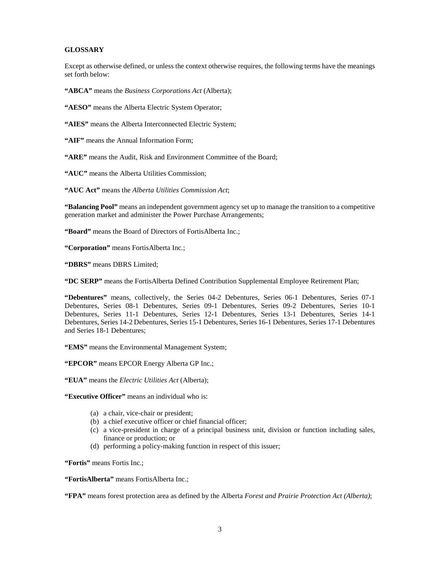### <span id="page-2-0"></span>**GLOSSARY**

Except as otherwise defined, or unless the context otherwise requires, the following terms have the meanings set forth below:

**"ABCA"** means the *Business Corporations Act* (Alberta);

**"AESO"** means the Alberta Electric System Operator;

**"AIES"** means the Alberta Interconnected Electric System;

**"AIF"** means the Annual Information Form;

**"ARE"** means the Audit, Risk and Environment Committee of the Board;

**"AUC"** means the Alberta Utilities Commission;

**"AUC Act"** means the *Alberta Utilities Commission Act*;

**"Balancing Pool"** means an independent government agency set up to manage the transition to a competitive generation market and administer the Power Purchase Arrangements;

**"Board"** means the Board of Directors of FortisAlberta Inc.;

**"Corporation"** means FortisAlberta Inc.;

**"DBRS"** means DBRS Limited;

**"DC SERP"** means the FortisAlberta Defined Contribution Supplemental Employee Retirement Plan;

**"Debentures"** means, collectively, the Series 04-2 Debentures, Series 06-1 Debentures, Series 07-1 Debentures, Series 08-1 Debentures, Series 09-1 Debentures, Series 09-2 Debentures, Series 10-1 Debentures, Series 11-1 Debentures, Series 12-1 Debentures, Series 13-1 Debentures, Series 14-1 Debentures, Series 14-2 Debentures, Series 15-1 Debentures, Series 16-1 Debentures, Series 17-1 Debentures and Series 18-1 Debentures;

**"EMS"** means the Environmental Management System;

**"EPCOR"** means EPCOR Energy Alberta GP Inc.;

**"EUA"** means the *Electric Utilities Act* (Alberta);

**"Executive Officer"** means an individual who is:

- (a) a chair, vice-chair or president;
- (b) a chief executive officer or chief financial officer;
- (c) a vice-president in charge of a principal business unit, division or function including sales, finance or production; or
- (d) performing a policy-making function in respect of this issuer;

**"Fortis"** means Fortis Inc.;

**"FortisAlberta"** means FortisAlberta Inc.;

**"FPA"** means forest protection area as defined by the Alberta *Forest and Prairie Protection Act (Alberta)*;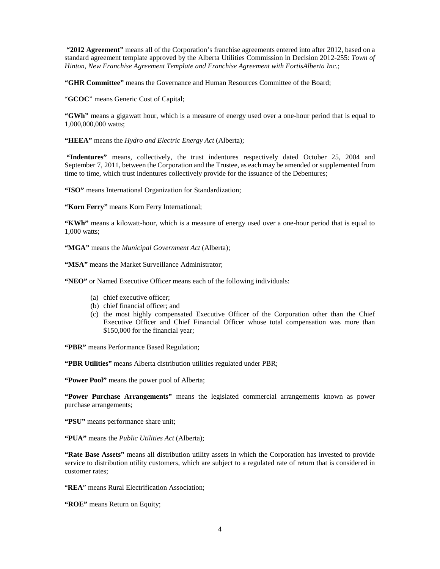**"2012 Agreement"** means all of the Corporation's franchise agreements entered into after 2012, based on a standard agreement template approved by the Alberta Utilities Commission in Decision 2012-255: *Town of Hinton, New Franchise Agreement Template and Franchise Agreement with FortisAlberta Inc*.;

**"GHR Committee"** means the Governance and Human Resources Committee of the Board;

"**GCOC**" means Generic Cost of Capital;

**"GWh"** means a gigawatt hour, which is a measure of energy used over a one-hour period that is equal to 1,000,000,000 watts;

**"HEEA"** means the *Hydro and Electric Energy Act* (Alberta);

**"Indentures"** means, collectively, the trust indentures respectively dated October 25, 2004 and September 7, 2011, between the Corporation and the Trustee, as each may be amended or supplemented from time to time, which trust indentures collectively provide for the issuance of the Debentures;

"ISO" means International Organization for Standardization;

**"Korn Ferry"** means Korn Ferry International;

**"KWh"** means a kilowatt-hour, which is a measure of energy used over a one-hour period that is equal to 1,000 watts;

**"MGA"** means the *Municipal Government Act* (Alberta);

**"MSA"** means the Market Surveillance Administrator;

**"NEO"** or Named Executive Officer means each of the following individuals:

- (a) chief executive officer;
- (b) chief financial officer; and
- (c) the most highly compensated Executive Officer of the Corporation other than the Chief Executive Officer and Chief Financial Officer whose total compensation was more than \$150,000 for the financial year;

**"PBR"** means Performance Based Regulation;

**"PBR Utilities"** means Alberta distribution utilities regulated under PBR;

**"Power Pool"** means the power pool of Alberta;

**"Power Purchase Arrangements"** means the legislated commercial arrangements known as power purchase arrangements;

**"PSU"** means performance share unit;

**"PUA"** means the *Public Utilities Act* (Alberta);

**"Rate Base Assets"** means all distribution utility assets in which the Corporation has invested to provide service to distribution utility customers, which are subject to a regulated rate of return that is considered in customer rates;

"**REA**" means Rural Electrification Association;

**"ROE"** means Return on Equity;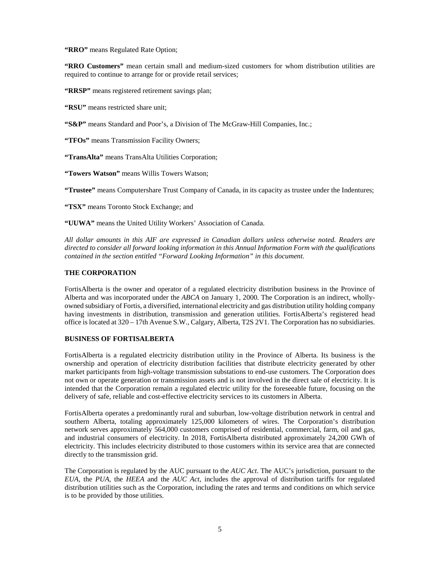**"RRO"** means Regulated Rate Option;

**"RRO Customers"** mean certain small and medium-sized customers for whom distribution utilities are required to continue to arrange for or provide retail services;

**"RRSP"** means registered retirement savings plan;

**"RSU"** means restricted share unit;

**"S&P"** means Standard and Poor's, a Division of The McGraw-Hill Companies, Inc.;

**"TFOs"** means Transmission Facility Owners;

**"TransAlta"** means TransAlta Utilities Corporation;

**"Towers Watson"** means Willis Towers Watson;

**"Trustee"** means Computershare Trust Company of Canada, in its capacity as trustee under the Indentures;

**"TSX"** means Toronto Stock Exchange; and

**"UUWA"** means the United Utility Workers' Association of Canada.

*All dollar amounts in this AIF are expressed in Canadian dollars unless otherwise noted. Readers are directed to consider all forward looking information in this Annual Information Form with the qualifications contained in the section entitled "Forward Looking Information" in this document.*

### <span id="page-4-0"></span>**THE CORPORATION**

FortisAlberta is the owner and operator of a regulated electricity distribution business in the Province of Alberta and was incorporated under the *ABCA* on January 1, 2000. The Corporation is an indirect, whollyowned subsidiary of Fortis, a diversified, international electricity and gas distribution utility holding company having investments in distribution, transmission and generation utilities. FortisAlberta's registered head office is located at 320 – 17th Avenue S.W., Calgary, Alberta, T2S 2V1. The Corporation has no subsidiaries.

#### <span id="page-4-1"></span>**BUSINESS OF FORTISALBERTA**

FortisAlberta is a regulated electricity distribution utility in the Province of Alberta. Its business is the ownership and operation of electricity distribution facilities that distribute electricity generated by other market participants from high-voltage transmission substations to end-use customers. The Corporation does not own or operate generation or transmission assets and is not involved in the direct sale of electricity. It is intended that the Corporation remain a regulated electric utility for the foreseeable future, focusing on the delivery of safe, reliable and cost-effective electricity services to its customers in Alberta.

FortisAlberta operates a predominantly rural and suburban, low-voltage distribution network in central and southern Alberta, totaling approximately 125,000 kilometers of wires. The Corporation's distribution network serves approximately 564,000 customers comprised of residential, commercial, farm, oil and gas, and industrial consumers of electricity. In 2018, FortisAlberta distributed approximately 24,200 GWh of electricity. This includes electricity distributed to those customers within its service area that are connected directly to the transmission grid.

The Corporation is regulated by the AUC pursuant to the *AUC Act*. The AUC's jurisdiction, pursuant to the *EUA*, the *PUA*, the *HEEA* and the *AUC Act*, includes the approval of distribution tariffs for regulated distribution utilities such as the Corporation, including the rates and terms and conditions on which service is to be provided by those utilities.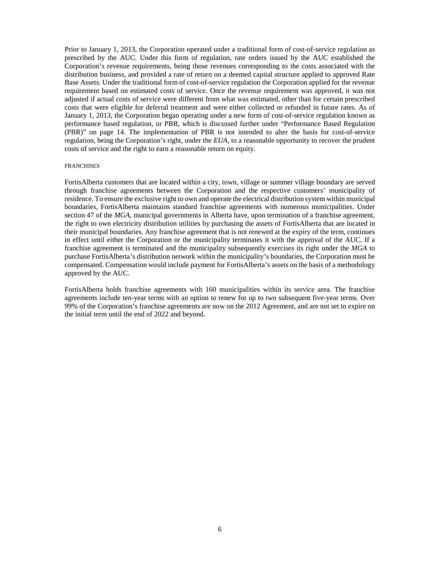Prior to January 1, 2013, the Corporation operated under a traditional form of cost-of-service regulation as prescribed by the AUC. Under this form of regulation, rate orders issued by the AUC established the Corporation's revenue requirements, being those revenues corresponding to the costs associated with the distribution business, and provided a rate of return on a deemed capital structure applied to approved Rate Base Assets. Under the traditional form of cost-of-service regulation the Corporation applied for the revenue requirement based on estimated costs of service. Once the revenue requirement was approved, it was not adjusted if actual costs of service were different from what was estimated, other than for certain prescribed costs that were eligible for deferral treatment and were either collected or refunded in future rates. As of January 1, 2013, the Corporation began operating under a new form of cost-of-service regulation known as performance based regulation, or PBR, which is discussed further under "Performance Based Regulation (PBR)" on page 14. The implementation of PBR is not intended to alter the basis for cost-of-service regulation, being the Corporation's right, under the *EUA*, to a reasonable opportunity to recover the prudent costs of service and the right to earn a reasonable return on equity.

#### <span id="page-5-0"></span>**FRANCHISES**

FortisAlberta customers that are located within a city, town, village or summer village boundary are served through franchise agreements between the Corporation and the respective customers' municipality of residence. To ensure the exclusive right to own and operate the electrical distribution system within municipal boundaries, FortisAlberta maintains standard franchise agreements with numerous municipalities. Under section 47 of the *MGA*, municipal governments in Alberta have, upon termination of a franchise agreement, the right to own electricity distribution utilities by purchasing the assets of FortisAlberta that are located in their municipal boundaries. Any franchise agreement that is not renewed at the expiry of the term, continues in effect until either the Corporation or the municipality terminates it with the approval of the AUC. If a franchise agreement is terminated and the municipality subsequently exercises its right under the *MGA* to purchase FortisAlberta's distribution network within the municipality's boundaries, the Corporation must be compensated. Compensation would include payment for FortisAlberta's assets on the basis of a methodology approved by the AUC.

FortisAlberta holds franchise agreements with 160 municipalities within its service area. The franchise agreements include ten-year terms with an option to renew for up to two subsequent five-year terms. Over 99% of the Corporation's franchise agreements are now on the 2012 Agreement, and are not set to expire on the initial term until the end of 2022 and beyond.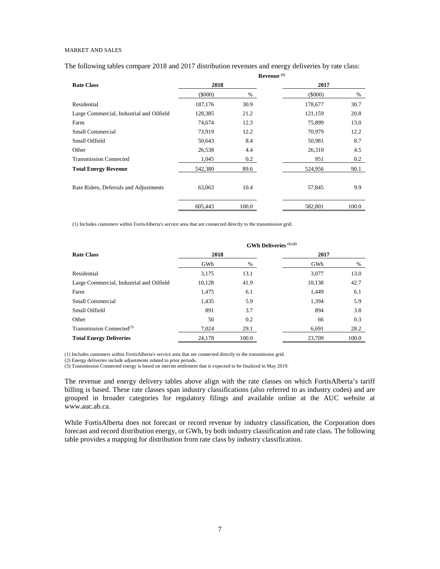#### <span id="page-6-0"></span>MARKET AND SALES

The following tables compare 2018 and 2017 distribution revenues and energy deliveries by rate class:

|                                           |         |       | Revenue <sup>(1)</sup> |       |
|-------------------------------------------|---------|-------|------------------------|-------|
| <b>Rate Class</b>                         | 2018    |       | 2017                   |       |
|                                           | (5000)  | $\%$  | (5000)                 | %     |
| Residential                               | 187,176 | 30.9  | 178,677                | 30.7  |
| Large Commercial, Industrial and Oilfield | 128,385 | 21.2  | 121,159                | 20.8  |
| Farm                                      | 74,674  | 12.3  | 75,899                 | 13.0  |
| Small Commercial                          | 73,919  | 12.2  | 70,979                 | 12.2  |
| Small Oilfield                            | 50,643  | 8.4   | 50,981                 | 8.7   |
| Other                                     | 26,538  | 4.4   | 26,310                 | 4.5   |
| <b>Transmission Connected</b>             | 1,045   | 0.2   | 951                    | 0.2   |
| <b>Total Energy Revenue</b>               | 542,380 | 89.6  | 524,956                | 90.1  |
|                                           |         |       |                        |       |
| Rate Riders, Deferrals and Adjustments    | 63,063  | 10.4  | 57,845                 | 9.9   |
|                                           | 605,443 | 100.0 | 582,801                | 100.0 |

(1) Includes customers within FortisAlberta's service area that are connected directly to the transmission grid.

|                                           |        |       | <b>GWh Deliveries</b> (1) (2) |       |
|-------------------------------------------|--------|-------|-------------------------------|-------|
| <b>Rate Class</b>                         | 2018   |       | 2017                          |       |
|                                           | GWh    | %     | GWh                           | %     |
| Residential                               | 3,175  | 13.1  | 3,077                         | 13.0  |
| Large Commercial, Industrial and Oilfield | 10,128 | 41.9  | 10,138                        | 42.7  |
| Farm                                      | 1,475  | 6.1   | 1,449                         | 6.1   |
| <b>Small Commercial</b>                   | 1,435  | 5.9   | 1,394                         | 5.9   |
| Small Oilfield                            | 891    | 3.7   | 894                           | 3.8   |
| Other                                     | 50     | 0.2   | 66                            | 0.3   |
| Transmission Connected $(3)$              | 7,024  | 29.1  | 6,691                         | 28.2  |
| <b>Total Energy Deliveries</b>            | 24.178 | 100.0 | 23,709                        | 100.0 |

(1) Includes customers within FortisAlberta's service area that are connected directly to the transmission grid.

(2) Energy deliveries include adjustments related to prior periods.

(3) Transmission Connected energy is based on interim settlement that is expected to be finalized in May 2019.

The revenue and energy delivery tables above align with the rate classes on which FortisAlberta's tariff billing is based. These rate classes span industry classifications (also referred to as industry codes) and are grouped in broader categories for regulatory filings and available online at the AUC website at www.auc.ab.ca.

While FortisAlberta does not forecast or record revenue by industry classification, the Corporation does forecast and record distribution energy, or GWh, by both industry classification and rate class. The following table provides a mapping for distribution from rate class by industry classification.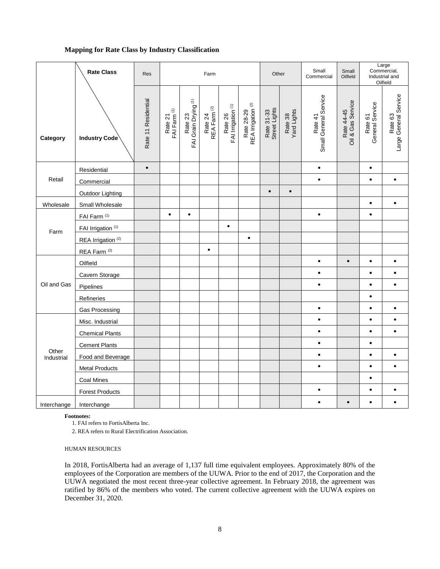### **Mapping for Rate Class by Industry Classification**

|                     | <b>Rate Class</b>             | <b>Res</b>          |                                    |                                            | Farm                                                                |                                          |                                             | Other                       |                        | Small<br>Commercial              | Small<br>Oilfield               |                            | Large<br>Commercial,<br>Industrial and<br>Oilfield |
|---------------------|-------------------------------|---------------------|------------------------------------|--------------------------------------------|---------------------------------------------------------------------|------------------------------------------|---------------------------------------------|-----------------------------|------------------------|----------------------------------|---------------------------------|----------------------------|----------------------------------------------------|
| Category            | <b>Industry Code</b>          | Rate 11 Residential | Rate 21<br>FAI Farm <sup>(1)</sup> | Rate 23<br>FAI Grain Drying <sup>(1)</sup> | $\widehat{\boldsymbol{\alpha}}$<br>Rate 24<br>REA Farm <sup>(</sup> | Rate 26<br>FAI Irrigation <sup>(1)</sup> | Rate 28-29<br>REA Irrigation <sup>(2)</sup> | Rate 31-33<br>Street Lights | Rate 38<br>Yard Lights | Small General Service<br>Rate 41 | Rate 44-45<br>Oil & Gas Service | Rate 61<br>General Service | Large General Service<br>Rate 63                   |
|                     | Residential                   | $\bullet$           |                                    |                                            |                                                                     |                                          |                                             |                             |                        | $\bullet$                        |                                 | $\bullet$                  |                                                    |
| Retail              | Commercial                    |                     |                                    |                                            |                                                                     |                                          |                                             |                             |                        | $\bullet$                        |                                 | $\bullet$                  | $\bullet$                                          |
|                     | Outdoor Lighting              |                     |                                    |                                            |                                                                     |                                          |                                             | $\bullet$                   | $\bullet$              |                                  |                                 |                            |                                                    |
| Wholesale           | Small Wholesale               |                     |                                    |                                            |                                                                     |                                          |                                             |                             |                        |                                  |                                 | $\bullet$                  | $\bullet$                                          |
|                     | FAI Farm <sup>(1)</sup>       |                     | $\bullet$                          | $\bullet$                                  |                                                                     |                                          |                                             |                             |                        | $\bullet$                        |                                 | $\bullet$                  |                                                    |
| Farm                | FAI Irrigation (1)            |                     |                                    |                                            |                                                                     | $\bullet$                                |                                             |                             |                        |                                  |                                 |                            |                                                    |
|                     | REA Irrigation <sup>(2)</sup> |                     |                                    |                                            |                                                                     |                                          | $\bullet$                                   |                             |                        |                                  |                                 |                            |                                                    |
|                     | REA Farm <sup>(2)</sup>       |                     |                                    |                                            | $\bullet$                                                           |                                          |                                             |                             |                        |                                  |                                 |                            |                                                    |
|                     | Oilfield                      |                     |                                    |                                            |                                                                     |                                          |                                             |                             |                        | $\bullet$                        | $\bullet$                       | $\bullet$                  |                                                    |
|                     | Cavern Storage                |                     |                                    |                                            |                                                                     |                                          |                                             |                             |                        | $\bullet$                        |                                 | $\bullet$                  |                                                    |
| Oil and Gas         | Pipelines                     |                     |                                    |                                            |                                                                     |                                          |                                             |                             |                        | $\bullet$                        |                                 | $\bullet$                  |                                                    |
|                     | Refineries                    |                     |                                    |                                            |                                                                     |                                          |                                             |                             |                        |                                  |                                 | $\bullet$                  |                                                    |
|                     | Gas Processing                |                     |                                    |                                            |                                                                     |                                          |                                             |                             |                        | $\bullet$                        |                                 | $\bullet$                  |                                                    |
|                     | Misc. Industrial              |                     |                                    |                                            |                                                                     |                                          |                                             |                             |                        | $\bullet$                        |                                 | $\bullet$                  |                                                    |
|                     | <b>Chemical Plants</b>        |                     |                                    |                                            |                                                                     |                                          |                                             |                             |                        | $\bullet$                        |                                 | $\bullet$                  |                                                    |
|                     | <b>Cement Plants</b>          |                     |                                    |                                            |                                                                     |                                          |                                             |                             |                        | $\bullet$                        |                                 | $\bullet$                  |                                                    |
| Other<br>Industrial | Food and Beverage             |                     |                                    |                                            |                                                                     |                                          |                                             |                             |                        | $\bullet$                        |                                 | $\bullet$                  |                                                    |
|                     | <b>Metal Products</b>         |                     |                                    |                                            |                                                                     |                                          |                                             |                             |                        | $\bullet$                        |                                 | $\bullet$                  | $\bullet$                                          |
|                     | <b>Coal Mines</b>             |                     |                                    |                                            |                                                                     |                                          |                                             |                             |                        |                                  |                                 | $\bullet$                  |                                                    |
|                     | <b>Forest Products</b>        |                     |                                    |                                            |                                                                     |                                          |                                             |                             |                        | $\bullet$                        |                                 | $\bullet$                  | $\bullet$                                          |
| Interchange         | Interchange                   |                     |                                    |                                            |                                                                     |                                          |                                             |                             |                        | $\bullet$                        | $\bullet$                       | $\bullet$                  |                                                    |

#### **Footnotes:**

1. FAI refers to FortisAlberta Inc.

2. REA refers to Rural Electrification Association.

#### <span id="page-7-0"></span>HUMAN RESOURCES

In 2018, FortisAlberta had an average of 1,137 full time equivalent employees. Approximately 80% of the employees of the Corporation are members of the UUWA. Prior to the end of 2017, the Corporation and the UUWA negotiated the most recent three-year collective agreement. In February 2018, the agreement was ratified by 86% of the members who voted. The current collective agreement with the UUWA expires on December 31, 2020.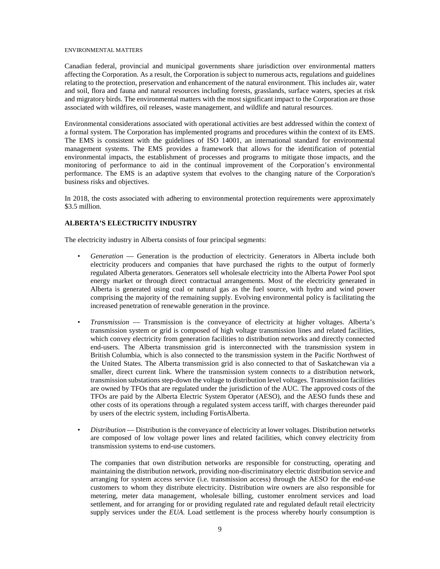#### <span id="page-8-0"></span>ENVIRONMENTAL MATTERS

Canadian federal, provincial and municipal governments share jurisdiction over environmental matters affecting the Corporation. As a result, the Corporation is subject to numerous acts, regulations and guidelines relating to the protection, preservation and enhancement of the natural environment. This includes air, water and soil, flora and fauna and natural resources including forests, grasslands, surface waters, species at risk and migratory birds. The environmental matters with the most significant impact to the Corporation are those associated with wildfires, oil releases, waste management, and wildlife and natural resources.

Environmental considerations associated with operational activities are best addressed within the context of a formal system. The Corporation has implemented programs and procedures within the context of its EMS. The EMS is consistent with the guidelines of ISO 14001, an international standard for environmental management systems. The EMS provides a framework that allows for the identification of potential environmental impacts, the establishment of processes and programs to mitigate those impacts, and the monitoring of performance to aid in the continual improvement of the Corporation's environmental performance. The EMS is an adaptive system that evolves to the changing nature of the Corporation's business risks and objectives.

In 2018, the costs associated with adhering to environmental protection requirements were approximately \$3.5 million.

### <span id="page-8-1"></span>**ALBERTA'S ELECTRICITY INDUSTRY**

The electricity industry in Alberta consists of four principal segments:

- *Generation* Generation is the production of electricity. Generators in Alberta include both electricity producers and companies that have purchased the rights to the output of formerly regulated Alberta generators. Generators sell wholesale electricity into the Alberta Power Pool spot energy market or through direct contractual arrangements. Most of the electricity generated in Alberta is generated using coal or natural gas as the fuel source, with hydro and wind power comprising the majority of the remaining supply. Evolving environmental policy is facilitating the increased penetration of renewable generation in the province.
- *Transmission* Transmission is the conveyance of electricity at higher voltages. Alberta's transmission system or grid is composed of high voltage transmission lines and related facilities, which convey electricity from generation facilities to distribution networks and directly connected end-users. The Alberta transmission grid is interconnected with the transmission system in British Columbia, which is also connected to the transmission system in the Pacific Northwest of the United States. The Alberta transmission grid is also connected to that of Saskatchewan via a smaller, direct current link. Where the transmission system connects to a distribution network, transmission substations step-down the voltage to distribution level voltages. Transmission facilities are owned by TFOs that are regulated under the jurisdiction of the AUC. The approved costs of the TFOs are paid by the Alberta Electric System Operator (AESO), and the AESO funds these and other costs of its operations through a regulated system access tariff, with charges thereunder paid by users of the electric system, including FortisAlberta.
- *Distribution* Distribution is the conveyance of electricity at lower voltages. Distribution networks are composed of low voltage power lines and related facilities, which convey electricity from transmission systems to end-use customers.

The companies that own distribution networks are responsible for constructing, operating and maintaining the distribution network, providing non-discriminatory electric distribution service and arranging for system access service (i.e. transmission access) through the AESO for the end-use customers to whom they distribute electricity. Distribution wire owners are also responsible for metering, meter data management, wholesale billing, customer enrolment services and load settlement, and for arranging for or providing regulated rate and regulated default retail electricity supply services under the *EUA*. Load settlement is the process whereby hourly consumption is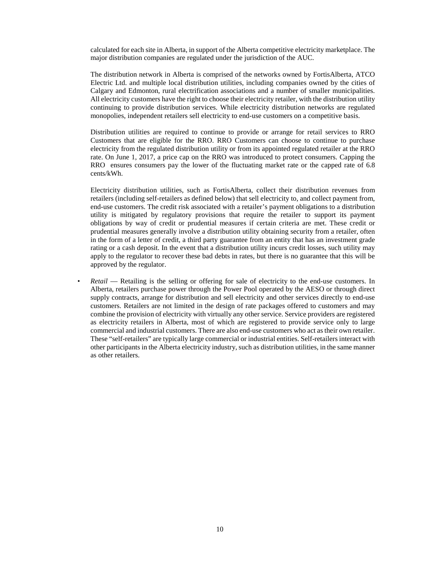calculated for each site in Alberta, in support of the Alberta competitive electricity marketplace. The major distribution companies are regulated under the jurisdiction of the AUC.

The distribution network in Alberta is comprised of the networks owned by FortisAlberta, ATCO Electric Ltd. and multiple local distribution utilities, including companies owned by the cities of Calgary and Edmonton, rural electrification associations and a number of smaller municipalities. All electricity customers have the right to choose their electricity retailer, with the distribution utility continuing to provide distribution services. While electricity distribution networks are regulated monopolies, independent retailers sell electricity to end-use customers on a competitive basis.

Distribution utilities are required to continue to provide or arrange for retail services to RRO Customers that are eligible for the RRO. RRO Customers can choose to continue to purchase electricity from the regulated distribution utility or from its appointed regulated retailer at the RRO rate. On June 1, 2017, a price cap on the RRO was introduced to protect consumers. Capping the RRO ensures consumers pay the lower of the fluctuating market rate or the capped rate of 6.8 cents/kWh.

Electricity distribution utilities, such as FortisAlberta, collect their distribution revenues from retailers (including self-retailers as defined below) that sell electricity to, and collect payment from, end-use customers. The credit risk associated with a retailer's payment obligations to a distribution utility is mitigated by regulatory provisions that require the retailer to support its payment obligations by way of credit or prudential measures if certain criteria are met. These credit or prudential measures generally involve a distribution utility obtaining security from a retailer, often in the form of a letter of credit, a third party guarantee from an entity that has an investment grade rating or a cash deposit. In the event that a distribution utility incurs credit losses, such utility may apply to the regulator to recover these bad debts in rates, but there is no guarantee that this will be approved by the regulator.

• *Retail* — Retailing is the selling or offering for sale of electricity to the end-use customers. In Alberta, retailers purchase power through the Power Pool operated by the AESO or through direct supply contracts, arrange for distribution and sell electricity and other services directly to end-use customers. Retailers are not limited in the design of rate packages offered to customers and may combine the provision of electricity with virtually any other service. Service providers are registered as electricity retailers in Alberta, most of which are registered to provide service only to large commercial and industrial customers. There are also end-use customers who act as their own retailer. These "self-retailers" are typically large commercial or industrial entities. Self-retailers interact with other participants in the Alberta electricity industry, such as distribution utilities, in the same manner as other retailers.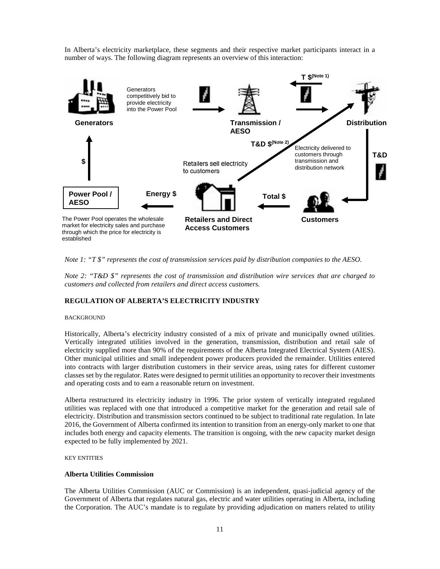In Alberta's electricity marketplace, these segments and their respective market participants interact in a number of ways. The following diagram represents an overview of this interaction:



*Note 1: "T \$" represents the cost of transmission services paid by distribution companies to the AESO.*

*Note 2: "T&D \$" represents the cost of transmission and distribution wire services that are charged to customers and collected from retailers and direct access customers.*

### <span id="page-10-0"></span>**REGULATION OF ALBERTA'S ELECTRICITY INDUSTRY**

#### <span id="page-10-1"></span>**BACKGROUND**

Historically, Alberta's electricity industry consisted of a mix of private and municipally owned utilities. Vertically integrated utilities involved in the generation, transmission, distribution and retail sale of electricity supplied more than 90% of the requirements of the Alberta Integrated Electrical System (AIES). Other municipal utilities and small independent power producers provided the remainder. Utilities entered into contracts with larger distribution customers in their service areas, using rates for different customer classes set by the regulator. Rates were designed to permit utilities an opportunity to recover their investments and operating costs and to earn a reasonable return on investment.

Alberta restructured its electricity industry in 1996. The prior system of vertically integrated regulated utilities was replaced with one that introduced a competitive market for the generation and retail sale of electricity. Distribution and transmission sectors continued to be subject to traditional rate regulation. In late 2016, the Government of Alberta confirmed its intention to transition from an energy-only market to one that includes both energy and capacity elements. The transition is ongoing, with the new capacity market design expected to be fully implemented by 2021.

<span id="page-10-2"></span>KEY ENTITIES

#### **Alberta Utilities Commission**

The Alberta Utilities Commission (AUC or Commission) is an independent, quasi-judicial agency of the Government of Alberta that regulates natural gas, electric and water utilities operating in Alberta, including the Corporation. The AUC's mandate is to regulate by providing adjudication on matters related to utility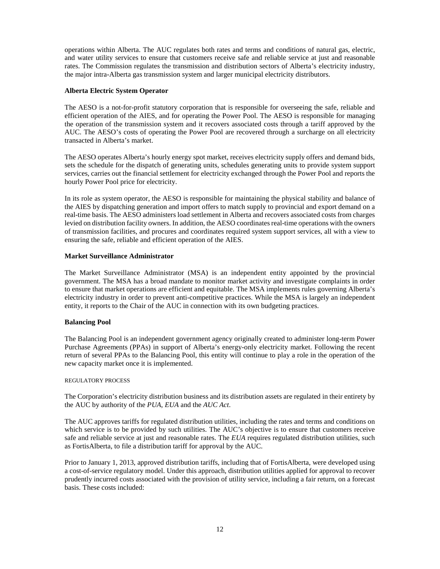operations within Alberta. The AUC regulates both rates and terms and conditions of natural gas, electric, and water utility services to ensure that customers receive safe and reliable service at just and reasonable rates. The Commission regulates the transmission and distribution sectors of Alberta's electricity industry, the major intra-Alberta gas transmission system and larger municipal electricity distributors.

# **Alberta Electric System Operator**

The AESO is a not-for-profit statutory corporation that is responsible for overseeing the safe, reliable and efficient operation of the AIES, and for operating the Power Pool. The AESO is responsible for managing the operation of the transmission system and it recovers associated costs through a tariff approved by the AUC. The AESO's costs of operating the Power Pool are recovered through a surcharge on all electricity transacted in Alberta's market.

The AESO operates Alberta's hourly energy spot market, receives electricity supply offers and demand bids, sets the schedule for the dispatch of generating units, schedules generating units to provide system support services, carries out the financial settlement for electricity exchanged through the Power Pool and reports the hourly Power Pool price for electricity.

In its role as system operator, the AESO is responsible for maintaining the physical stability and balance of the AIES by dispatching generation and import offers to match supply to provincial and export demand on a real-time basis. The AESO administers load settlement in Alberta and recovers associated costs from charges levied on distribution facility owners. In addition, the AESO coordinates real-time operations with the owners of transmission facilities, and procures and coordinates required system support services, all with a view to ensuring the safe, reliable and efficient operation of the AIES.

### **Market Surveillance Administrator**

The Market Surveillance Administrator (MSA) is an independent entity appointed by the provincial government. The MSA has a broad mandate to monitor market activity and investigate complaints in order to ensure that market operations are efficient and equitable. The MSA implements rules governing Alberta's electricity industry in order to prevent anti-competitive practices. While the MSA is largely an independent entity, it reports to the Chair of the AUC in connection with its own budgeting practices.

#### **Balancing Pool**

The Balancing Pool is an independent government agency originally created to administer long-term Power Purchase Agreements (PPAs) in support of Alberta's energy-only electricity market. Following the recent return of several PPAs to the Balancing Pool, this entity will continue to play a role in the operation of the new capacity market once it is implemented.

#### <span id="page-11-0"></span>REGULATORY PROCESS

The Corporation's electricity distribution business and its distribution assets are regulated in their entirety by the AUC by authority of the *PUA*, *EUA* and the *AUC Act*.

The AUC approves tariffs for regulated distribution utilities, including the rates and terms and conditions on which service is to be provided by such utilities. The AUC's objective is to ensure that customers receive safe and reliable service at just and reasonable rates. The *EUA* requires regulated distribution utilities, such as FortisAlberta, to file a distribution tariff for approval by the AUC.

Prior to January 1, 2013, approved distribution tariffs, including that of FortisAlberta, were developed using a cost-of-service regulatory model. Under this approach, distribution utilities applied for approval to recover prudently incurred costs associated with the provision of utility service, including a fair return, on a forecast basis. These costs included: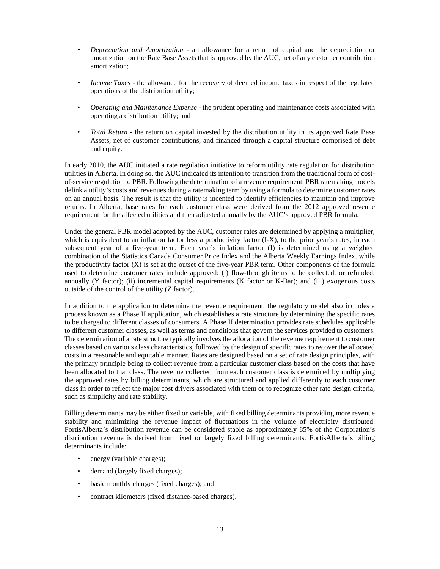- *Depreciation and Amortization* an allowance for a return of capital and the depreciation or amortization on the Rate Base Assets that is approved by the AUC, net of any customer contribution amortization;
- *Income Taxes* the allowance for the recovery of deemed income taxes in respect of the regulated operations of the distribution utility;
- *Operating and Maintenance Expense* the prudent operating and maintenance costs associated with operating a distribution utility; and
- *Total Return* the return on capital invested by the distribution utility in its approved Rate Base Assets, net of customer contributions, and financed through a capital structure comprised of debt and equity.

In early 2010, the AUC initiated a rate regulation initiative to reform utility rate regulation for distribution utilities in Alberta. In doing so, the AUC indicated its intention to transition from the traditional form of costof-service regulation to PBR. Following the determination of a revenue requirement, PBR ratemaking models delink a utility's costs and revenues during a ratemaking term by using a formula to determine customer rates on an annual basis. The result is that the utility is incented to identify efficiencies to maintain and improve returns. In Alberta, base rates for each customer class were derived from the 2012 approved revenue requirement for the affected utilities and then adjusted annually by the AUC's approved PBR formula.

Under the general PBR model adopted by the AUC, customer rates are determined by applying a multiplier, which is equivalent to an inflation factor less a productivity factor (I-X), to the prior year's rates, in each subsequent year of a five-year term. Each year's inflation factor (I) is determined using a weighted combination of the Statistics Canada Consumer Price Index and the Alberta Weekly Earnings Index, while the productivity factor (X) is set at the outset of the five-year PBR term. Other components of the formula used to determine customer rates include approved: (i) flow-through items to be collected, or refunded, annually (Y factor); (ii) incremental capital requirements (K factor or K-Bar); and (iii) exogenous costs outside of the control of the utility (Z factor).

In addition to the application to determine the revenue requirement, the regulatory model also includes a process known as a Phase II application, which establishes a rate structure by determining the specific rates to be charged to different classes of consumers. A Phase II determination provides rate schedules applicable to different customer classes, as well as terms and conditions that govern the services provided to customers. The determination of a rate structure typically involves the allocation of the revenue requirement to customer classes based on various class characteristics, followed by the design of specific rates to recover the allocated costs in a reasonable and equitable manner. Rates are designed based on a set of rate design principles, with the primary principle being to collect revenue from a particular customer class based on the costs that have been allocated to that class. The revenue collected from each customer class is determined by multiplying the approved rates by billing determinants, which are structured and applied differently to each customer class in order to reflect the major cost drivers associated with them or to recognize other rate design criteria, such as simplicity and rate stability.

Billing determinants may be either fixed or variable, with fixed billing determinants providing more revenue stability and minimizing the revenue impact of fluctuations in the volume of electricity distributed. FortisAlberta's distribution revenue can be considered stable as approximately 85% of the Corporation's distribution revenue is derived from fixed or largely fixed billing determinants. FortisAlberta's billing determinants include:

- energy (variable charges);
- demand (largely fixed charges);
- basic monthly charges (fixed charges); and
- contract kilometers (fixed distance-based charges).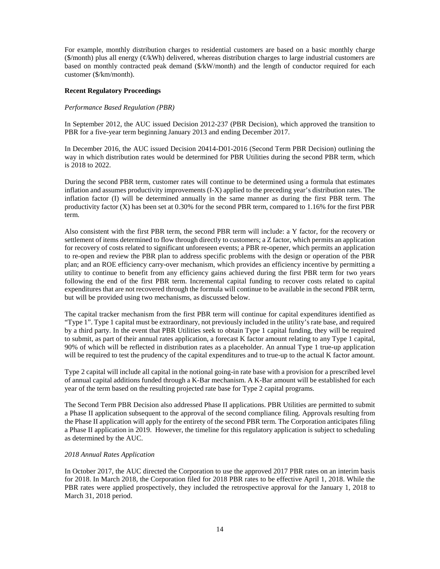For example, monthly distribution charges to residential customers are based on a basic monthly charge ( $\gamma$ month) plus all energy ( $\psi$ /kWh) delivered, whereas distribution charges to large industrial customers are based on monthly contracted peak demand (\$/kW/month) and the length of conductor required for each customer (\$/km/month).

### **Recent Regulatory Proceedings**

### *Performance Based Regulation (PBR)*

In September 2012, the AUC issued Decision 2012-237 (PBR Decision), which approved the transition to PBR for a five-year term beginning January 2013 and ending December 2017.

In December 2016, the AUC issued Decision 20414-D01-2016 (Second Term PBR Decision) outlining the way in which distribution rates would be determined for PBR Utilities during the second PBR term, which is 2018 to 2022.

During the second PBR term, customer rates will continue to be determined using a formula that estimates inflation and assumes productivity improvements (I-X) applied to the preceding year's distribution rates. The inflation factor (I) will be determined annually in the same manner as during the first PBR term. The productivity factor (X) has been set at 0.30% for the second PBR term, compared to 1.16% for the first PBR term.

Also consistent with the first PBR term, the second PBR term will include: a Y factor, for the recovery or settlement of items determined to flow through directly to customers; a Z factor, which permits an application for recovery of costs related to significant unforeseen events; a PBR re-opener, which permits an application to re-open and review the PBR plan to address specific problems with the design or operation of the PBR plan; and an ROE efficiency carry-over mechanism, which provides an efficiency incentive by permitting a utility to continue to benefit from any efficiency gains achieved during the first PBR term for two years following the end of the first PBR term. Incremental capital funding to recover costs related to capital expenditures that are not recovered through the formula will continue to be available in the second PBR term, but will be provided using two mechanisms, as discussed below.

The capital tracker mechanism from the first PBR term will continue for capital expenditures identified as "Type 1". Type 1 capital must be extraordinary, not previously included in the utility's rate base, and required by a third party. In the event that PBR Utilities seek to obtain Type 1 capital funding, they will be required to submit, as part of their annual rates application, a forecast K factor amount relating to any Type 1 capital, 90% of which will be reflected in distribution rates as a placeholder. An annual Type 1 true-up application will be required to test the prudency of the capital expenditures and to true-up to the actual K factor amount.

Type 2 capital will include all capital in the notional going-in rate base with a provision for a prescribed level of annual capital additions funded through a K-Bar mechanism. A K-Bar amount will be established for each year of the term based on the resulting projected rate base for Type 2 capital programs.

The Second Term PBR Decision also addressed Phase II applications. PBR Utilities are permitted to submit a Phase II application subsequent to the approval of the second compliance filing. Approvals resulting from the Phase II application will apply for the entirety of the second PBR term. The Corporation anticipates filing a Phase II application in 2019. However, the timeline for this regulatory application is subject to scheduling as determined by the AUC.

#### *2018 Annual Rates Application*

In October 2017, the AUC directed the Corporation to use the approved 2017 PBR rates on an interim basis for 2018. In March 2018, the Corporation filed for 2018 PBR rates to be effective April 1, 2018. While the PBR rates were applied prospectively, they included the retrospective approval for the January 1, 2018 to March 31, 2018 period.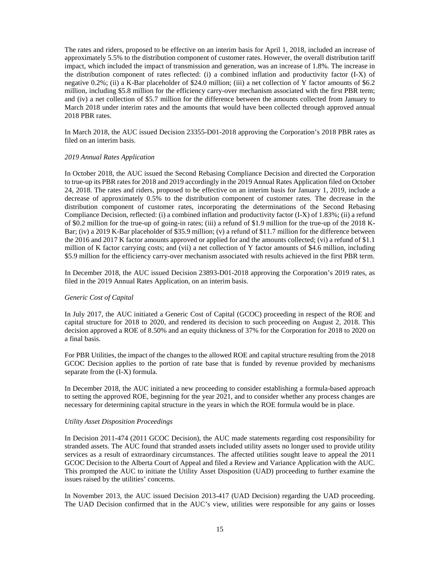The rates and riders, proposed to be effective on an interim basis for April 1, 2018, included an increase of approximately 5.5% to the distribution component of customer rates. However, the overall distribution tariff impact, which included the impact of transmission and generation, was an increase of 1.8%. The increase in the distribution component of rates reflected: (i) a combined inflation and productivity factor (I-X) of negative 0.2%; (ii) a K-Bar placeholder of \$24.0 million; (iii) a net collection of Y factor amounts of \$6.2 million, including \$5.8 million for the efficiency carry-over mechanism associated with the first PBR term; and (iv) a net collection of \$5.7 million for the difference between the amounts collected from January to March 2018 under interim rates and the amounts that would have been collected through approved annual 2018 PBR rates.

In March 2018, the AUC issued Decision 23355-D01-2018 approving the Corporation's 2018 PBR rates as filed on an interim basis.

#### *2019 Annual Rates Application*

In October 2018, the AUC issued the Second Rebasing Compliance Decision and directed the Corporation to true-up its PBR rates for 2018 and 2019 accordingly in the 2019 Annual Rates Application filed on October 24, 2018. The rates and riders, proposed to be effective on an interim basis for January 1, 2019, include a decrease of approximately 0.5% to the distribution component of customer rates. The decrease in the distribution component of customer rates, incorporating the determinations of the Second Rebasing Compliance Decision, reflected: (i) a combined inflation and productivity factor (I-X) of 1.83%; (ii) a refund of \$0.2 million for the true-up of going-in rates; (iii) a refund of \$1.9 million for the true-up of the 2018 K-Bar; (iv) a 2019 K-Bar placeholder of \$35.9 million; (v) a refund of \$11.7 million for the difference between the 2016 and 2017 K factor amounts approved or applied for and the amounts collected; (vi) a refund of \$1.1 million of K factor carrying costs; and (vii) a net collection of Y factor amounts of \$4.6 million, including \$5.9 million for the efficiency carry-over mechanism associated with results achieved in the first PBR term.

In December 2018, the AUC issued Decision 23893-D01-2018 approving the Corporation's 2019 rates, as filed in the 2019 Annual Rates Application, on an interim basis.

#### *Generic Cost of Capital*

In July 2017, the AUC initiated a Generic Cost of Capital (GCOC) proceeding in respect of the ROE and capital structure for 2018 to 2020, and rendered its decision to such proceeding on August 2, 2018. This decision approved a ROE of 8.50% and an equity thickness of 37% for the Corporation for 2018 to 2020 on a final basis.

For PBR Utilities, the impact of the changes to the allowed ROE and capital structure resulting from the 2018 GCOC Decision applies to the portion of rate base that is funded by revenue provided by mechanisms separate from the (I-X) formula.

In December 2018, the AUC initiated a new proceeding to consider establishing a formula-based approach to setting the approved ROE, beginning for the year 2021, and to consider whether any process changes are necessary for determining capital structure in the years in which the ROE formula would be in place.

#### *Utility Asset Disposition Proceedings*

In Decision 2011-474 (2011 GCOC Decision), the AUC made statements regarding cost responsibility for stranded assets. The AUC found that stranded assets included utility assets no longer used to provide utility services as a result of extraordinary circumstances. The affected utilities sought leave to appeal the 2011 GCOC Decision to the Alberta Court of Appeal and filed a Review and Variance Application with the AUC. This prompted the AUC to initiate the Utility Asset Disposition (UAD) proceeding to further examine the issues raised by the utilities' concerns.

In November 2013, the AUC issued Decision 2013-417 (UAD Decision) regarding the UAD proceeding. The UAD Decision confirmed that in the AUC's view, utilities were responsible for any gains or losses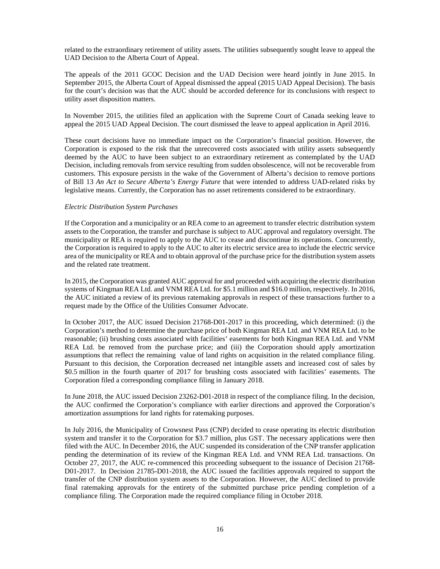related to the extraordinary retirement of utility assets. The utilities subsequently sought leave to appeal the UAD Decision to the Alberta Court of Appeal.

The appeals of the 2011 GCOC Decision and the UAD Decision were heard jointly in June 2015. In September 2015, the Alberta Court of Appeal dismissed the appeal (2015 UAD Appeal Decision). The basis for the court's decision was that the AUC should be accorded deference for its conclusions with respect to utility asset disposition matters.

In November 2015, the utilities filed an application with the Supreme Court of Canada seeking leave to appeal the 2015 UAD Appeal Decision. The court dismissed the leave to appeal application in April 2016.

These court decisions have no immediate impact on the Corporation's financial position. However, the Corporation is exposed to the risk that the unrecovered costs associated with utility assets subsequently deemed by the AUC to have been subject to an extraordinary retirement as contemplated by the UAD Decision, including removals from service resulting from sudden obsolescence, will not be recoverable from customers. This exposure persists in the wake of the Government of Alberta's decision to remove portions of Bill 13 *An Act to Secure Alberta's Energy Future* that were intended to address UAD-related risks by legislative means. Currently, the Corporation has no asset retirements considered to be extraordinary.

#### *Electric Distribution System Purchases*

If the Corporation and a municipality or an REA come to an agreement to transfer electric distribution system assets to the Corporation, the transfer and purchase is subject to AUC approval and regulatory oversight. The municipality or REA is required to apply to the AUC to cease and discontinue its operations. Concurrently, the Corporation is required to apply to the AUC to alter its electric service area to include the electric service area of the municipality or REA and to obtain approval of the purchase price for the distribution system assets and the related rate treatment.

In 2015, the Corporation was granted AUC approval for and proceeded with acquiring the electric distribution systems of Kingman REA Ltd. and VNM REA Ltd. for \$5.1 million and \$16.0 million, respectively. In 2016, the AUC initiated a review of its previous ratemaking approvals in respect of these transactions further to a request made by the Office of the Utilities Consumer Advocate.

In October 2017, the AUC issued Decision 21768-D01-2017 in this proceeding, which determined: (i) the Corporation's method to determine the purchase price of both Kingman REA Ltd. and VNM REA Ltd. to be reasonable; (ii) brushing costs associated with facilities' easements for both Kingman REA Ltd. and VNM REA Ltd. be removed from the purchase price; and (iii) the Corporation should apply amortization assumptions that reflect the remaining value of land rights on acquisition in the related compliance filing. Pursuant to this decision, the Corporation decreased net intangible assets and increased cost of sales by \$0.5 million in the fourth quarter of 2017 for brushing costs associated with facilities' easements. The Corporation filed a corresponding compliance filing in January 2018.

In June 2018, the AUC issued Decision 23262-D01-2018 in respect of the compliance filing. In the decision, the AUC confirmed the Corporation's compliance with earlier directions and approved the Corporation's amortization assumptions for land rights for ratemaking purposes.

In July 2016, the Municipality of Crowsnest Pass (CNP) decided to cease operating its electric distribution system and transfer it to the Corporation for \$3.7 million, plus GST. The necessary applications were then filed with the AUC. In December 2016, the AUC suspended its consideration of the CNP transfer application pending the determination of its review of the Kingman REA Ltd. and VNM REA Ltd. transactions. On October 27, 2017, the AUC re-commenced this proceeding subsequent to the issuance of Decision 21768- D01-2017. In Decision 21785-D01-2018, the AUC issued the facilities approvals required to support the transfer of the CNP distribution system assets to the Corporation. However, the AUC declined to provide final ratemaking approvals for the entirety of the submitted purchase price pending completion of a compliance filing. The Corporation made the required compliance filing in October 2018.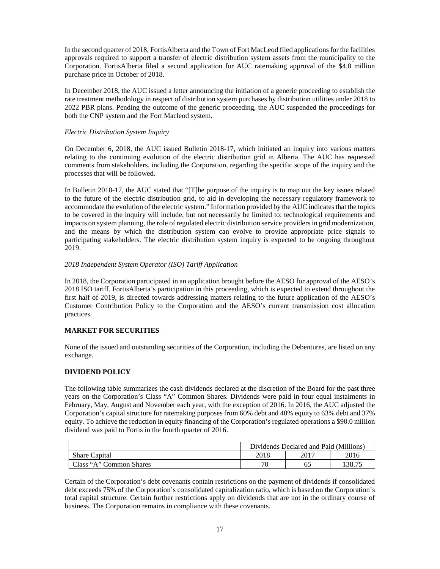In the second quarter of 2018, FortisAlberta and the Town of Fort MacLeod filed applications for the facilities approvals required to support a transfer of electric distribution system assets from the municipality to the Corporation. FortisAlberta filed a second application for AUC ratemaking approval of the \$4.8 million purchase price in October of 2018.

In December 2018, the AUC issued a letter announcing the initiation of a generic proceeding to establish the rate treatment methodology in respect of distribution system purchases by distribution utilities under 2018 to 2022 PBR plans. Pending the outcome of the generic proceeding, the AUC suspended the proceedings for both the CNP system and the Fort Macleod system.

# *Electric Distribution System Inquiry*

On December 6, 2018, the AUC issued Bulletin 2018-17, which initiated an inquiry into various matters relating to the continuing evolution of the electric distribution grid in Alberta. The AUC has requested comments from stakeholders, including the Corporation, regarding the specific scope of the inquiry and the processes that will be followed.

In Bulletin 2018-17, the AUC stated that "[T]he purpose of the inquiry is to map out the key issues related to the future of the electric distribution grid, to aid in developing the necessary regulatory framework to accommodate the evolution of the electric system." Information provided by the AUC indicates that the topics to be covered in the inquiry will include, but not necessarily be limited to: technological requirements and impacts on system planning, the role of regulated electric distribution service providers in grid modernization, and the means by which the distribution system can evolve to provide appropriate price signals to participating stakeholders. The electric distribution system inquiry is expected to be ongoing throughout 2019.

## *2018 Independent System Operator (ISO) Tariff Application*

In 2018, the Corporation participated in an application brought before the AESO for approval of the AESO's 2018 ISO tariff. FortisAlberta's participation in this proceeding, which is expected to extend throughout the first half of 2019, is directed towards addressing matters relating to the future application of the AESO's Customer Contribution Policy to the Corporation and the AESO's current transmission cost allocation practices.

# <span id="page-16-0"></span>**MARKET FOR SECURITIES**

None of the issued and outstanding securities of the Corporation, including the Debentures, are listed on any exchange.

# <span id="page-16-1"></span>**DIVIDEND POLICY**

The following table summarizes the cash dividends declared at the discretion of the Board for the past three years on the Corporation's Class "A" Common Shares. Dividends were paid in four equal instalments in February, May, August and November each year, with the exception of 2016. In 2016, the AUC adjusted the Corporation's capital structure for ratemaking purposes from 60% debt and 40% equity to 63% debt and 37% equity. To achieve the reduction in equity financing of the Corporation's regulated operations a \$90.0 million dividend was paid to Fortis in the fourth quarter of 2016.

|                         | Dividends Declared and Paid (Millions) |      |        |
|-------------------------|----------------------------------------|------|--------|
| <b>Share Capital</b>    | 2018                                   | 2017 | 2016   |
| Class "A" Common Shares | 70                                     | 65   | .38.75 |

Certain of the Corporation's debt covenants contain restrictions on the payment of dividends if consolidated debt exceeds 75% of the Corporation's consolidated capitalization ratio, which is based on the Corporation's total capital structure. Certain further restrictions apply on dividends that are not in the ordinary course of business. The Corporation remains in compliance with these covenants.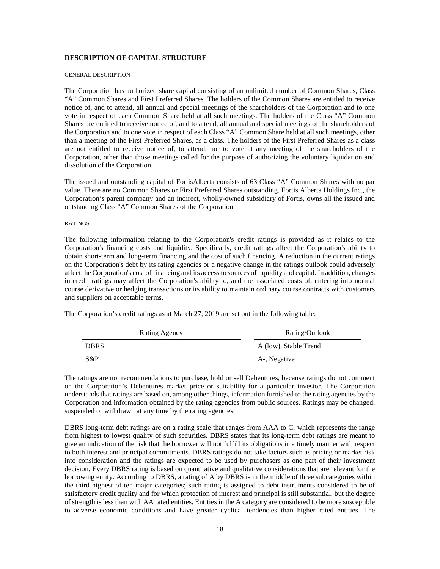#### <span id="page-17-0"></span>**DESCRIPTION OF CAPITAL STRUCTURE**

#### <span id="page-17-1"></span>GENERAL DESCRIPTION

The Corporation has authorized share capital consisting of an unlimited number of Common Shares, Class "A" Common Shares and First Preferred Shares. The holders of the Common Shares are entitled to receive notice of, and to attend, all annual and special meetings of the shareholders of the Corporation and to one vote in respect of each Common Share held at all such meetings. The holders of the Class "A" Common Shares are entitled to receive notice of, and to attend, all annual and special meetings of the shareholders of the Corporation and to one vote in respect of each Class "A" Common Share held at all such meetings, other than a meeting of the First Preferred Shares, as a class. The holders of the First Preferred Shares as a class are not entitled to receive notice of, to attend, nor to vote at any meeting of the shareholders of the Corporation, other than those meetings called for the purpose of authorizing the voluntary liquidation and dissolution of the Corporation.

The issued and outstanding capital of FortisAlberta consists of 63 Class "A" Common Shares with no par value. There are no Common Shares or First Preferred Shares outstanding. Fortis Alberta Holdings Inc., the Corporation's parent company and an indirect, wholly-owned subsidiary of Fortis, owns all the issued and outstanding Class "A" Common Shares of the Corporation.

#### <span id="page-17-2"></span>**RATINGS**

The following information relating to the Corporation's credit ratings is provided as it relates to the Corporation's financing costs and liquidity. Specifically, credit ratings affect the Corporation's ability to obtain short-term and long-term financing and the cost of such financing. A reduction in the current ratings on the Corporation's debt by its rating agencies or a negative change in the ratings outlook could adversely affect the Corporation's cost of financing and its access to sources of liquidity and capital. In addition, changes in credit ratings may affect the Corporation's ability to, and the associated costs of, entering into normal course derivative or hedging transactions or its ability to maintain ordinary course contracts with customers and suppliers on acceptable terms.

The Corporation's credit ratings as at March 27, 2019 are set out in the following table:

| Rating Agency | Rating/Outlook        |
|---------------|-----------------------|
| <b>DBRS</b>   | A (low), Stable Trend |
| $S\&P$        | A-, Negative          |

The ratings are not recommendations to purchase, hold or sell Debentures, because ratings do not comment on the Corporation's Debentures market price or suitability for a particular investor. The Corporation understands that ratings are based on, among other things, information furnished to the rating agencies by the Corporation and information obtained by the rating agencies from public sources. Ratings may be changed, suspended or withdrawn at any time by the rating agencies.

DBRS long-term debt ratings are on a rating scale that ranges from AAA to C, which represents the range from highest to lowest quality of such securities. DBRS states that its long-term debt ratings are meant to give an indication of the risk that the borrower will not fulfill its obligations in a timely manner with respect to both interest and principal commitments. DBRS ratings do not take factors such as pricing or market risk into consideration and the ratings are expected to be used by purchasers as one part of their investment decision. Every DBRS rating is based on quantitative and qualitative considerations that are relevant for the borrowing entity. According to DBRS, a rating of A by DBRS is in the middle of three subcategories within the third highest of ten major categories; such rating is assigned to debt instruments considered to be of satisfactory credit quality and for which protection of interest and principal is still substantial, but the degree of strength is less than with AA rated entities. Entities in the A category are considered to be more susceptible to adverse economic conditions and have greater cyclical tendencies than higher rated entities. The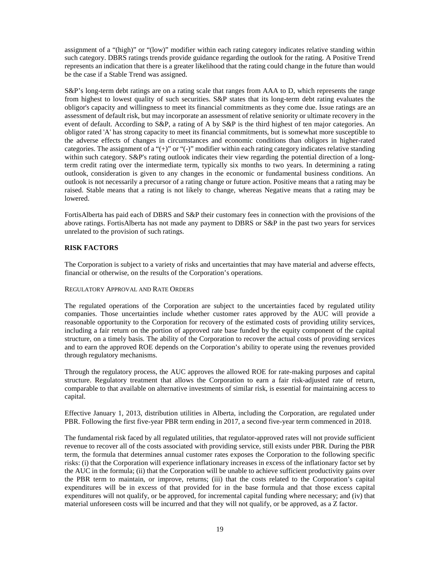assignment of a "(high)" or "(low)" modifier within each rating category indicates relative standing within such category. DBRS ratings trends provide guidance regarding the outlook for the rating. A Positive Trend represents an indication that there is a greater likelihood that the rating could change in the future than would be the case if a Stable Trend was assigned.

S&P's long-term debt ratings are on a rating scale that ranges from AAA to D, which represents the range from highest to lowest quality of such securities. S&P states that its long-term debt rating evaluates the obligor's capacity and willingness to meet its financial commitments as they come due. Issue ratings are an assessment of default risk, but may incorporate an assessment of relative seniority or ultimate recovery in the event of default. According to S&P, a rating of A by S&P is the third highest of ten major categories. An obligor rated 'A' has strong capacity to meet its financial commitments, but is somewhat more susceptible to the adverse effects of changes in circumstances and economic conditions than obligors in higher-rated categories. The assignment of a "(+)" or "(-)" modifier within each rating category indicates relative standing within such category. S&P's rating outlook indicates their view regarding the potential direction of a longterm credit rating over the intermediate term, typically six months to two years. In determining a rating outlook, consideration is given to any changes in the economic or fundamental business conditions. An outlook is not necessarily a precursor of a rating change or future action. Positive means that a rating may be raised. Stable means that a rating is not likely to change, whereas Negative means that a rating may be lowered.

FortisAlberta has paid each of DBRS and S&P their customary fees in connection with the provisions of the above ratings. FortisAlberta has not made any payment to DBRS or S&P in the past two years for services unrelated to the provision of such ratings.

### <span id="page-18-0"></span>**RISK FACTORS**

The Corporation is subject to a variety of risks and uncertainties that may have material and adverse effects, financial or otherwise, on the results of the Corporation's operations.

### <span id="page-18-1"></span>REGULATORY APPROVAL AND RATE ORDERS

The regulated operations of the Corporation are subject to the uncertainties faced by regulated utility companies. Those uncertainties include whether customer rates approved by the AUC will provide a reasonable opportunity to the Corporation for recovery of the estimated costs of providing utility services, including a fair return on the portion of approved rate base funded by the equity component of the capital structure, on a timely basis. The ability of the Corporation to recover the actual costs of providing services and to earn the approved ROE depends on the Corporation's ability to operate using the revenues provided through regulatory mechanisms.

Through the regulatory process, the AUC approves the allowed ROE for rate-making purposes and capital structure. Regulatory treatment that allows the Corporation to earn a fair risk-adjusted rate of return, comparable to that available on alternative investments of similar risk, is essential for maintaining access to capital.

Effective January 1, 2013, distribution utilities in Alberta, including the Corporation, are regulated under PBR. Following the first five-year PBR term ending in 2017, a second five-year term commenced in 2018.

The fundamental risk faced by all regulated utilities, that regulator-approved rates will not provide sufficient revenue to recover all of the costs associated with providing service, still exists under PBR. During the PBR term, the formula that determines annual customer rates exposes the Corporation to the following specific risks: (i) that the Corporation will experience inflationary increases in excess of the inflationary factor set by the AUC in the formula; (ii) that the Corporation will be unable to achieve sufficient productivity gains over the PBR term to maintain, or improve, returns; (iii) that the costs related to the Corporation's capital expenditures will be in excess of that provided for in the base formula and that those excess capital expenditures will not qualify, or be approved, for incremental capital funding where necessary; and (iv) that material unforeseen costs will be incurred and that they will not qualify, or be approved, as a Z factor.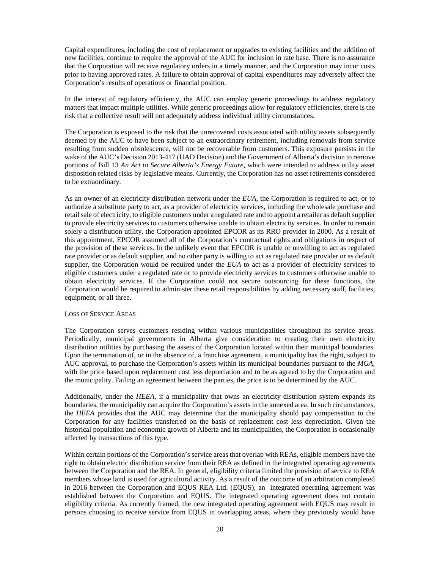Capital expenditures, including the cost of replacement or upgrades to existing facilities and the addition of new facilities, continue to require the approval of the AUC for inclusion in rate base. There is no assurance that the Corporation will receive regulatory orders in a timely manner, and the Corporation may incur costs prior to having approved rates. A failure to obtain approval of capital expenditures may adversely affect the Corporation's results of operations or financial position.

In the interest of regulatory efficiency, the AUC can employ generic proceedings to address regulatory matters that impact multiple utilities. While generic proceedings allow for regulatory efficiencies, there is the risk that a collective result will not adequately address individual utility circumstances.

The Corporation is exposed to the risk that the unrecovered costs associated with utility assets subsequently deemed by the AUC to have been subject to an extraordinary retirement, including removals from service resulting from sudden obsolescence, will not be recoverable from customers. This exposure persists in the wake of the AUC's Decision 2013-417 (UAD Decision) and the Government of Alberta's decision to remove portions of Bill 13 *An Act to Secure Alberta's Energy Future*, which were intended to address utility asset disposition related risks by legislative means. Currently, the Corporation has no asset retirements considered to be extraordinary.

As an owner of an electricity distribution network under the *EUA*, the Corporation is required to act, or to authorize a substitute party to act, as a provider of electricity services, including the wholesale purchase and retail sale of electricity, to eligible customers under a regulated rate and to appoint a retailer as default supplier to provide electricity services to customers otherwise unable to obtain electricity services. In order to remain solely a distribution utility, the Corporation appointed EPCOR as its RRO provider in 2000. As a result of this appointment, EPCOR assumed all of the Corporation's contractual rights and obligations in respect of the provision of these services. In the unlikely event that EPCOR is unable or unwilling to act as regulated rate provider or as default supplier, and no other party is willing to act as regulated rate provider or as default supplier, the Corporation would be required under the *EUA* to act as a provider of electricity services to eligible customers under a regulated rate or to provide electricity services to customers otherwise unable to obtain electricity services. If the Corporation could not secure outsourcing for these functions, the Corporation would be required to administer these retail responsibilities by adding necessary staff, facilities, equipment, or all three.

#### <span id="page-19-0"></span>LOSS OF SERVICE AREAS

The Corporation serves customers residing within various municipalities throughout its service areas. Periodically, municipal governments in Alberta give consideration to creating their own electricity distribution utilities by purchasing the assets of the Corporation located within their municipal boundaries. Upon the termination of, or in the absence of, a franchise agreement, a municipality has the right, subject to AUC approval, to purchase the Corporation's assets within its municipal boundaries pursuant to the *MGA*, with the price based upon replacement cost less depreciation and to be as agreed to by the Corporation and the municipality. Failing an agreement between the parties, the price is to be determined by the AUC.

Additionally, under the *HEEA*, if a municipality that owns an electricity distribution system expands its boundaries, the municipality can acquire the Corporation's assets in the annexed area. In such circumstances, the *HEEA* provides that the AUC may determine that the municipality should pay compensation to the Corporation for any facilities transferred on the basis of replacement cost less depreciation. Given the historical population and economic growth of Alberta and its municipalities, the Corporation is occasionally affected by transactions of this type.

Within certain portions of the Corporation's service areas that overlap with REAs, eligible members have the right to obtain electric distribution service from their REA as defined in the integrated operating agreements between the Corporation and the REA. In general, eligibility criteria limited the provision of service to REA members whose land is used for agricultural activity. As a result of the outcome of an arbitration completed in 2016 between the Corporation and EQUS REA Ltd. (EQUS), an integrated operating agreement was established between the Corporation and EQUS. The integrated operating agreement does not contain eligibility criteria. As currently framed, the new integrated operating agreement with EQUS may result in persons choosing to receive service from EQUS in overlapping areas, where they previously would have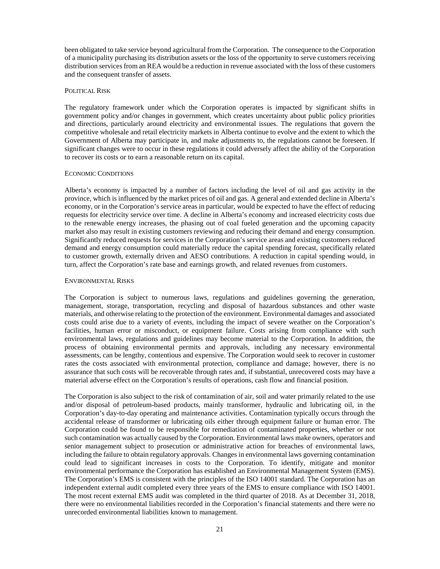been obligated to take service beyond agricultural from the Corporation. The consequence to the Corporation of a municipality purchasing its distribution assets or the loss of the opportunity to serve customers receiving distribution services from an REA would be a reduction in revenue associated with the loss of these customers and the consequent transfer of assets.

#### <span id="page-20-0"></span>POLITICAL RISK

The regulatory framework under which the Corporation operates is impacted by significant shifts in government policy and/or changes in government, which creates uncertainty about public policy priorities and directions, particularly around electricity and environmental issues. The regulations that govern the competitive wholesale and retail electricity markets in Alberta continue to evolve and the extent to which the Government of Alberta may participate in, and make adjustments to, the regulations cannot be foreseen. If significant changes were to occur in these regulations it could adversely affect the ability of the Corporation to recover its costs or to earn a reasonable return on its capital.

#### <span id="page-20-1"></span>ECONOMIC CONDITIONS

Alberta's economy is impacted by a number of factors including the level of oil and gas activity in the province, which is influenced by the market prices of oil and gas. A general and extended decline in Alberta's economy, or in the Corporation's service areas in particular, would be expected to have the effect of reducing requests for electricity service over time. A decline in Alberta's economy and increased electricity costs due to the renewable energy increases, the phasing out of coal fueled generation and the upcoming capacity market also may result in existing customers reviewing and reducing their demand and energy consumption. Significantly reduced requests for services in the Corporation's service areas and existing customers reduced demand and energy consumption could materially reduce the capital spending forecast, specifically related to customer growth, externally driven and AESO contributions. A reduction in capital spending would, in turn, affect the Corporation's rate base and earnings growth, and related revenues from customers.

#### <span id="page-20-2"></span>ENVIRONMENTAL RISKS

The Corporation is subject to numerous laws, regulations and guidelines governing the generation, management, storage, transportation, recycling and disposal of hazardous substances and other waste materials, and otherwise relating to the protection of the environment. Environmental damages and associated costs could arise due to a variety of events, including the impact of severe weather on the Corporation's facilities, human error or misconduct, or equipment failure. Costs arising from compliance with such environmental laws, regulations and guidelines may become material to the Corporation. In addition, the process of obtaining environmental permits and approvals, including any necessary environmental assessments, can be lengthy, contentious and expensive. The Corporation would seek to recover in customer rates the costs associated with environmental protection, compliance and damage; however, there is no assurance that such costs will be recoverable through rates and, if substantial, unrecovered costs may have a material adverse effect on the Corporation's results of operations, cash flow and financial position.

The Corporation is also subject to the risk of contamination of air, soil and water primarily related to the use and/or disposal of petroleum-based products, mainly transformer, hydraulic and lubricating oil, in the Corporation's day-to-day operating and maintenance activities. Contamination typically occurs through the accidental release of transformer or lubricating oils either through equipment failure or human error. The Corporation could be found to be responsible for remediation of contaminated properties, whether or not such contamination was actually caused by the Corporation. Environmental laws make owners, operators and senior management subject to prosecution or administrative action for breaches of environmental laws, including the failure to obtain regulatory approvals. Changes in environmental laws governing contamination could lead to significant increases in costs to the Corporation. To identify, mitigate and monitor environmental performance the Corporation has established an Environmental Management System (EMS). The Corporation's EMS is consistent with the principles of the ISO 14001 standard. The Corporation has an independent external audit completed every three years of the EMS to ensure compliance with ISO 14001. The most recent external EMS audit was completed in the third quarter of 2018. As at December 31, 2018, there were no environmental liabilities recorded in the Corporation's financial statements and there were no unrecorded environmental liabilities known to management.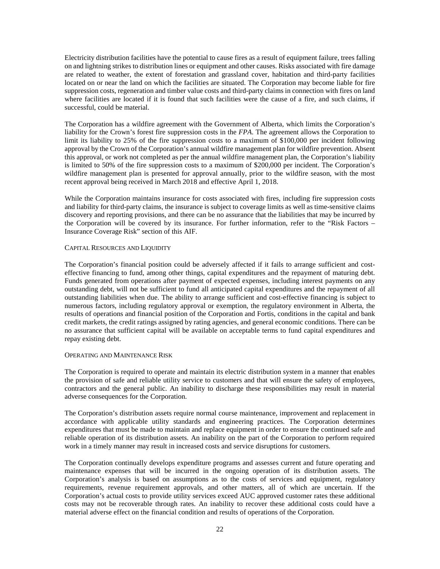Electricity distribution facilities have the potential to cause fires as a result of equipment failure, trees falling on and lightning strikes to distribution lines or equipment and other causes. Risks associated with fire damage are related to weather, the extent of forestation and grassland cover, habitation and third-party facilities located on or near the land on which the facilities are situated. The Corporation may become liable for fire suppression costs, regeneration and timber value costs and third-party claims in connection with fires on land where facilities are located if it is found that such facilities were the cause of a fire, and such claims, if successful, could be material.

The Corporation has a wildfire agreement with the Government of Alberta, which limits the Corporation's liability for the Crown's forest fire suppression costs in the *FPA*. The agreement allows the Corporation to limit its liability to 25% of the fire suppression costs to a maximum of \$100,000 per incident following approval by the Crown of the Corporation's annual wildfire management plan for wildfire prevention. Absent this approval, or work not completed as per the annual wildfire management plan, the Corporation's liability is limited to 50% of the fire suppression costs to a maximum of \$200,000 per incident. The Corporation's wildfire management plan is presented for approval annually, prior to the wildfire season, with the most recent approval being received in March 2018 and effective April 1, 2018.

While the Corporation maintains insurance for costs associated with fires, including fire suppression costs and liability for third-party claims, the insurance is subject to coverage limits as well as time-sensitive claims discovery and reporting provisions, and there can be no assurance that the liabilities that may be incurred by the Corporation will be covered by its insurance. For further information, refer to the "Risk Factors – Insurance Coverage Risk" section of this AIF.

#### <span id="page-21-0"></span>CAPITAL RESOURCES AND LIQUIDITY

The Corporation's financial position could be adversely affected if it fails to arrange sufficient and costeffective financing to fund, among other things, capital expenditures and the repayment of maturing debt. Funds generated from operations after payment of expected expenses, including interest payments on any outstanding debt, will not be sufficient to fund all anticipated capital expenditures and the repayment of all outstanding liabilities when due. The ability to arrange sufficient and cost-effective financing is subject to numerous factors, including regulatory approval or exemption, the regulatory environment in Alberta, the results of operations and financial position of the Corporation and Fortis, conditions in the capital and bank credit markets, the credit ratings assigned by rating agencies, and general economic conditions. There can be no assurance that sufficient capital will be available on acceptable terms to fund capital expenditures and repay existing debt.

### <span id="page-21-1"></span>OPERATING AND MAINTENANCE RISK

The Corporation is required to operate and maintain its electric distribution system in a manner that enables the provision of safe and reliable utility service to customers and that will ensure the safety of employees, contractors and the general public. An inability to discharge these responsibilities may result in material adverse consequences for the Corporation.

The Corporation's distribution assets require normal course maintenance, improvement and replacement in accordance with applicable utility standards and engineering practices. The Corporation determines expenditures that must be made to maintain and replace equipment in order to ensure the continued safe and reliable operation of its distribution assets. An inability on the part of the Corporation to perform required work in a timely manner may result in increased costs and service disruptions for customers.

The Corporation continually develops expenditure programs and assesses current and future operating and maintenance expenses that will be incurred in the ongoing operation of its distribution assets. The Corporation's analysis is based on assumptions as to the costs of services and equipment, regulatory requirements, revenue requirement approvals, and other matters, all of which are uncertain. If the Corporation's actual costs to provide utility services exceed AUC approved customer rates these additional costs may not be recoverable through rates. An inability to recover these additional costs could have a material adverse effect on the financial condition and results of operations of the Corporation.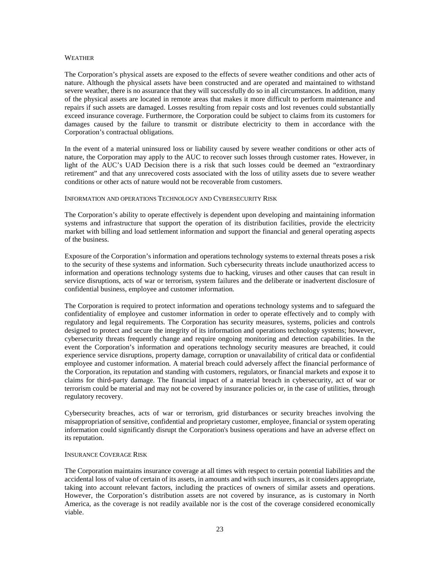#### <span id="page-22-0"></span>**WEATHER**

The Corporation's physical assets are exposed to the effects of severe weather conditions and other acts of nature. Although the physical assets have been constructed and are operated and maintained to withstand severe weather, there is no assurance that they will successfully do so in all circumstances. In addition, many of the physical assets are located in remote areas that makes it more difficult to perform maintenance and repairs if such assets are damaged. Losses resulting from repair costs and lost revenues could substantially exceed insurance coverage. Furthermore, the Corporation could be subject to claims from its customers for damages caused by the failure to transmit or distribute electricity to them in accordance with the Corporation's contractual obligations.

In the event of a material uninsured loss or liability caused by severe weather conditions or other acts of nature, the Corporation may apply to the AUC to recover such losses through customer rates. However, in light of the AUC's UAD Decision there is a risk that such losses could be deemed an "extraordinary retirement" and that any unrecovered costs associated with the loss of utility assets due to severe weather conditions or other acts of nature would not be recoverable from customers.

### <span id="page-22-1"></span>INFORMATION AND OPERATIONS TECHNOLOGY AND CYBERSECURITY RISK

The Corporation's ability to operate effectively is dependent upon developing and maintaining information systems and infrastructure that support the operation of its distribution facilities, provide the electricity market with billing and load settlement information and support the financial and general operating aspects of the business.

Exposure of the Corporation's information and operations technology systems to external threats poses a risk to the security of these systems and information. Such cybersecurity threats include unauthorized access to information and operations technology systems due to hacking, viruses and other causes that can result in service disruptions, acts of war or terrorism, system failures and the deliberate or inadvertent disclosure of confidential business, employee and customer information.

The Corporation is required to protect information and operations technology systems and to safeguard the confidentiality of employee and customer information in order to operate effectively and to comply with regulatory and legal requirements. The Corporation has security measures, systems, policies and controls designed to protect and secure the integrity of its information and operations technology systems; however, cybersecurity threats frequently change and require ongoing monitoring and detection capabilities. In the event the Corporation's information and operations technology security measures are breached, it could experience service disruptions, property damage, corruption or unavailability of critical data or confidential employee and customer information. A material breach could adversely affect the financial performance of the Corporation, its reputation and standing with customers, regulators, or financial markets and expose it to claims for third-party damage. The financial impact of a material breach in cybersecurity, act of war or terrorism could be material and may not be covered by insurance policies or, in the case of utilities, through regulatory recovery.

Cybersecurity breaches, acts of war or terrorism, grid disturbances or security breaches involving the misappropriation of sensitive, confidential and proprietary customer, employee, financial or system operating information could significantly disrupt the Corporation's business operations and have an adverse effect on its reputation.

#### <span id="page-22-2"></span>INSURANCE COVERAGE RISK

The Corporation maintains insurance coverage at all times with respect to certain potential liabilities and the accidental loss of value of certain of its assets, in amounts and with such insurers, as it considers appropriate, taking into account relevant factors, including the practices of owners of similar assets and operations. However, the Corporation's distribution assets are not covered by insurance, as is customary in North America, as the coverage is not readily available nor is the cost of the coverage considered economically viable.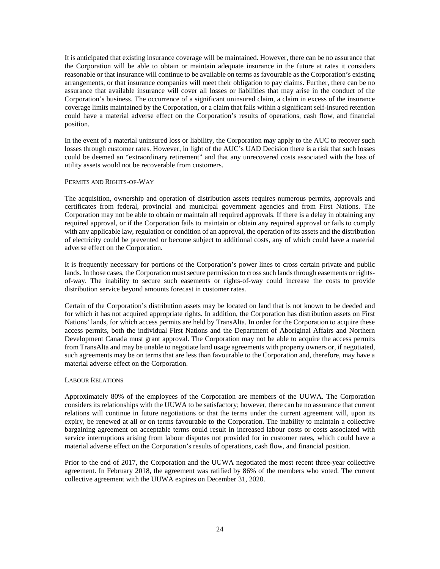It is anticipated that existing insurance coverage will be maintained. However, there can be no assurance that the Corporation will be able to obtain or maintain adequate insurance in the future at rates it considers reasonable or that insurance will continue to be available on terms as favourable as the Corporation's existing arrangements, or that insurance companies will meet their obligation to pay claims. Further, there can be no assurance that available insurance will cover all losses or liabilities that may arise in the conduct of the Corporation's business. The occurrence of a significant uninsured claim, a claim in excess of the insurance coverage limits maintained by the Corporation, or a claim that falls within a significant self-insured retention could have a material adverse effect on the Corporation's results of operations, cash flow, and financial position.

In the event of a material uninsured loss or liability, the Corporation may apply to the AUC to recover such losses through customer rates. However, in light of the AUC's UAD Decision there is a risk that such losses could be deemed an "extraordinary retirement" and that any unrecovered costs associated with the loss of utility assets would not be recoverable from customers.

#### <span id="page-23-0"></span>PERMITS AND RIGHTS-OF-WAY

The acquisition, ownership and operation of distribution assets requires numerous permits, approvals and certificates from federal, provincial and municipal government agencies and from First Nations. The Corporation may not be able to obtain or maintain all required approvals. If there is a delay in obtaining any required approval, or if the Corporation fails to maintain or obtain any required approval or fails to comply with any applicable law, regulation or condition of an approval, the operation of its assets and the distribution of electricity could be prevented or become subject to additional costs, any of which could have a material adverse effect on the Corporation.

It is frequently necessary for portions of the Corporation's power lines to cross certain private and public lands. In those cases, the Corporation must secure permission to cross such lands through easements or rightsof-way. The inability to secure such easements or rights-of-way could increase the costs to provide distribution service beyond amounts forecast in customer rates.

Certain of the Corporation's distribution assets may be located on land that is not known to be deeded and for which it has not acquired appropriate rights. In addition, the Corporation has distribution assets on First Nations' lands, for which access permits are held by TransAlta. In order for the Corporation to acquire these access permits, both the individual First Nations and the Department of Aboriginal Affairs and Northern Development Canada must grant approval. The Corporation may not be able to acquire the access permits from TransAlta and may be unable to negotiate land usage agreements with property owners or, if negotiated, such agreements may be on terms that are less than favourable to the Corporation and, therefore, may have a material adverse effect on the Corporation.

#### <span id="page-23-1"></span>LABOUR RELATIONS

Approximately 80% of the employees of the Corporation are members of the UUWA. The Corporation considers its relationships with the UUWA to be satisfactory; however, there can be no assurance that current relations will continue in future negotiations or that the terms under the current agreement will, upon its expiry, be renewed at all or on terms favourable to the Corporation. The inability to maintain a collective bargaining agreement on acceptable terms could result in increased labour costs or costs associated with service interruptions arising from labour disputes not provided for in customer rates, which could have a material adverse effect on the Corporation's results of operations, cash flow, and financial position.

Prior to the end of 2017, the Corporation and the UUWA negotiated the most recent three-year collective agreement. In February 2018, the agreement was ratified by 86% of the members who voted. The current collective agreement with the UUWA expires on December 31, 2020.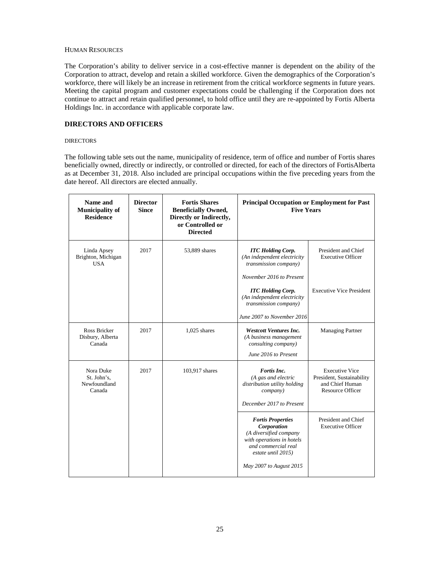### <span id="page-24-0"></span>HUMAN RESOURCES

The Corporation's ability to deliver service in a cost-effective manner is dependent on the ability of the Corporation to attract, develop and retain a skilled workforce. Given the demographics of the Corporation's workforce, there will likely be an increase in retirement from the critical workforce segments in future years. Meeting the capital program and customer expectations could be challenging if the Corporation does not continue to attract and retain qualified personnel, to hold office until they are re-appointed by Fortis Alberta Holdings Inc. in accordance with applicable corporate law.

# <span id="page-24-1"></span>**DIRECTORS AND OFFICERS**

#### <span id="page-24-2"></span>**DIRECTORS**

The following table sets out the name, municipality of residence, term of office and number of Fortis shares beneficially owned, directly or indirectly, or controlled or directed, for each of the directors of FortisAlberta as at December 31, 2018. Also included are principal occupations within the five preceding years from the date hereof. All directors are elected annually.

| <b>Director</b><br><b>Since</b> | <b>Fortis Shares</b><br><b>Beneficially Owned,</b><br>Directly or Indirectly,<br>or Controlled or<br><b>Directed</b> | <b>Principal Occupation or Employment for Past</b><br><b>Five Years</b>                                                                     |                                                                                                  |
|---------------------------------|----------------------------------------------------------------------------------------------------------------------|---------------------------------------------------------------------------------------------------------------------------------------------|--------------------------------------------------------------------------------------------------|
| 2017                            | 53,889 shares                                                                                                        | <b>ITC Holding Corp.</b><br>(An independent electricity<br>transmission company)<br>November 2016 to Present                                | President and Chief<br><b>Executive Officer</b>                                                  |
|                                 |                                                                                                                      | <b>ITC</b> Holding Corp.<br>(An independent electricity<br>transmission company)<br>June 2007 to November 2016                              | <b>Executive Vice President</b>                                                                  |
| 2017                            | $1,025$ shares                                                                                                       | <b>Westcott Ventures Inc.</b><br>(A business management<br>consulting company)<br>June 2016 to Present                                      | <b>Managing Partner</b>                                                                          |
| 2017                            | 103,917 shares                                                                                                       | Fortis Inc.<br>(A gas and electric<br>distribution utility holding<br>company)<br>December 2017 to Present                                  | <b>Executive Vice</b><br>President, Sustainability<br>and Chief Human<br><b>Resource Officer</b> |
|                                 |                                                                                                                      | <b>Fortis Properties</b><br>Corporation<br>(A diversified company<br>with operations in hotels<br>and commercial real<br>estate until 2015) | President and Chief<br><b>Executive Officer</b>                                                  |
|                                 |                                                                                                                      |                                                                                                                                             | May 2007 to August 2015                                                                          |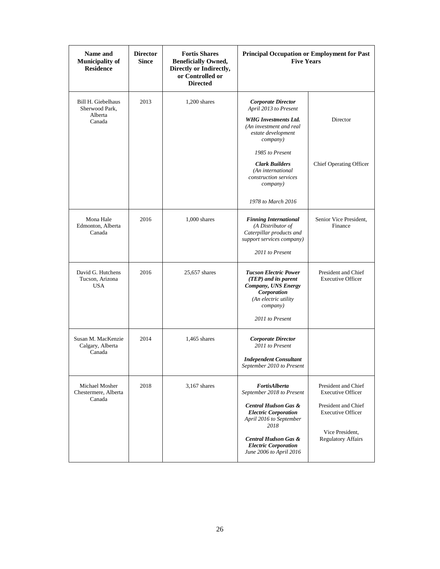| Name and<br><b>Municipality of</b><br><b>Residence</b> | <b>Director</b><br><b>Since</b> | <b>Fortis Shares</b><br><b>Beneficially Owned,</b><br>Directly or Indirectly,<br>or Controlled or<br><b>Directed</b> | Principal Occupation or Employment for Past<br><b>Five Years</b>                                                                                  |                                                 |
|--------------------------------------------------------|---------------------------------|----------------------------------------------------------------------------------------------------------------------|---------------------------------------------------------------------------------------------------------------------------------------------------|-------------------------------------------------|
| Bill H. Giebelhaus<br>Sherwood Park.                   | 2013                            | $1,200$ shares                                                                                                       | <b>Corporate Director</b><br>April 2013 to Present                                                                                                |                                                 |
| Alberta<br>Canada                                      |                                 |                                                                                                                      | <b>WHG</b> Investments Ltd.<br>(An investment and real<br>estate development<br>company)                                                          | Director                                        |
|                                                        |                                 |                                                                                                                      | 1985 to Present                                                                                                                                   |                                                 |
|                                                        |                                 |                                                                                                                      | <b>Clark Builders</b><br>(An international<br>construction services<br><i>company</i> )                                                           | Chief Operating Officer                         |
|                                                        |                                 |                                                                                                                      | 1978 to March 2016                                                                                                                                |                                                 |
| Mona Hale<br>Edmonton, Alberta<br>Canada               | 2016                            | $1,000$ shares                                                                                                       | <b>Finning International</b><br>(A Distributor of<br>Caterpillar products and<br>support services company)                                        | Senior Vice President,<br>Finance               |
|                                                        |                                 |                                                                                                                      | 2011 to Present                                                                                                                                   |                                                 |
| David G. Hutchens<br>Tucson, Arizona<br><b>USA</b>     | 2016                            | 25,657 shares                                                                                                        | <b>Tucson Electric Power</b><br>(TEP) and its parent<br>Company, UNS Energy<br>Corporation<br>(An electric utility<br>company)<br>2011 to Present | President and Chief<br><b>Executive Officer</b> |
|                                                        |                                 |                                                                                                                      |                                                                                                                                                   |                                                 |
| Susan M. MacKenzie<br>Calgary, Alberta<br>Canada       | 2014                            | $1,465$ shares                                                                                                       | <b>Corporate Director</b><br>2011 to Present<br><b>Independent Consultant</b>                                                                     |                                                 |
|                                                        |                                 |                                                                                                                      | September 2010 to Present                                                                                                                         |                                                 |
| Michael Mosher<br>Chestermere, Alberta<br>Canada       | 2018                            | $3,167$ shares                                                                                                       | FortisAlberta<br>September 2018 to Present                                                                                                        | President and Chief<br><b>Executive Officer</b> |
|                                                        |                                 |                                                                                                                      | <b>Central Hudson Gas &amp;</b><br><b>Electric Corporation</b><br>April 2016 to September<br>2018                                                 | President and Chief<br><b>Executive Officer</b> |
|                                                        |                                 |                                                                                                                      | <b>Central Hudson Gas &amp;</b><br><b>Electric Corporation</b><br>June 2006 to April 2016                                                         | Vice President,<br><b>Regulatory Affairs</b>    |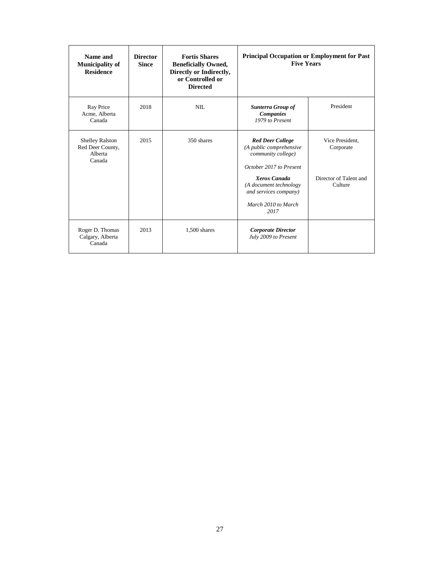| Name and<br><b>Municipality of</b><br><b>Residence</b>          | <b>Director</b><br><b>Since</b> | <b>Fortis Shares</b><br><b>Beneficially Owned,</b><br>Directly or Indirectly,<br>or Controlled or<br><b>Directed</b> | <b>Principal Occupation or Employment for Past</b><br><b>Five Years</b>                                                                                                                               |                                                                   |
|-----------------------------------------------------------------|---------------------------------|----------------------------------------------------------------------------------------------------------------------|-------------------------------------------------------------------------------------------------------------------------------------------------------------------------------------------------------|-------------------------------------------------------------------|
| Ray Price<br>Acme, Alberta<br>Canada                            | 2018                            | NII.                                                                                                                 | Sunterra Group of<br><b>Companies</b><br>1979 to Present                                                                                                                                              | President                                                         |
| <b>Shelley Ralston</b><br>Red Deer County,<br>Alberta<br>Canada | 2015                            | 350 shares                                                                                                           | <b>Red Deer College</b><br>(A public comprehensive<br>community college)<br>October 2017 to Present<br>Xerox Canada<br>(A document technology<br>and services company)<br>March 2010 to March<br>2017 | Vice President.<br>Corporate<br>Director of Talent and<br>Culture |
| Roger D. Thomas<br>Calgary, Alberta<br>Canada                   | 2013                            | 1,500 shares                                                                                                         | <b>Corporate Director</b><br>July 2009 to Present                                                                                                                                                     |                                                                   |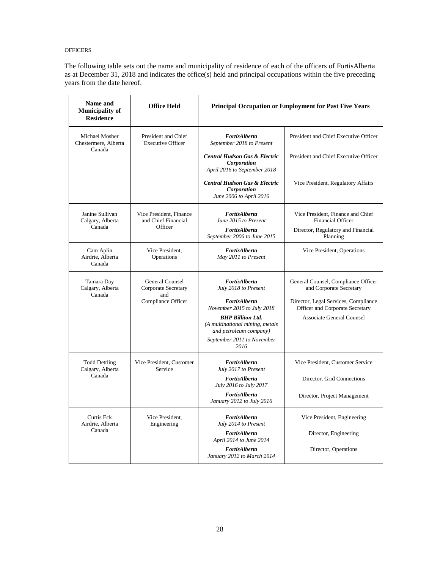### <span id="page-27-0"></span>**OFFICERS**

The following table sets out the name and municipality of residence of each of the officers of FortisAlberta as at December 31, 2018 and indicates the office(s) held and principal occupations within the five preceding years from the date hereof.

| Name and<br><b>Municipality of</b><br><b>Residence</b> | <b>Office Held</b>                                        |                                                                                         | Principal Occupation or Employment for Past Five Years                  |
|--------------------------------------------------------|-----------------------------------------------------------|-----------------------------------------------------------------------------------------|-------------------------------------------------------------------------|
| Michael Mosher<br>Chestermere, Alberta                 | President and Chief<br><b>Executive Officer</b>           | FortisAlberta<br>September 2018 to Present                                              | President and Chief Executive Officer                                   |
| Canada                                                 |                                                           | <b>Central Hudson Gas &amp; Electric</b><br>Corporation<br>April 2016 to September 2018 | President and Chief Executive Officer                                   |
|                                                        |                                                           | <b>Central Hudson Gas &amp; Electric</b><br>Corporation<br>June 2006 to April 2016      | Vice President, Regulatory Affairs                                      |
| Janine Sullivan<br>Calgary, Alberta<br>Canada          | Vice President, Finance<br>and Chief Financial<br>Officer | <b>FortisAlberta</b><br>June 2015 to Present                                            | Vice President, Finance and Chief<br><b>Financial Officer</b>           |
|                                                        |                                                           | FortisAlberta<br>September 2006 to June 2015                                            | Director, Regulatory and Financial<br>Planning                          |
| Cam Aplin<br>Airdrie, Alberta<br>Canada                | Vice President,<br>Operations                             | FortisAlberta<br>May 2011 to Present                                                    | Vice President, Operations                                              |
| Tamara Day<br>Calgary, Alberta<br>Canada               | <b>General Counsel</b><br>Corporate Secretary<br>and      | FortisAlberta<br>July 2018 to Present                                                   | General Counsel, Compliance Officer<br>and Corporate Secretary          |
|                                                        | Compliance Officer                                        | FortisAlberta<br>November 2015 to July 2018                                             | Director, Legal Services, Compliance<br>Officer and Corporate Secretary |
|                                                        |                                                           | <b>BHP Billiton Ltd.</b><br>(A multinational mining, metals<br>and petroleum company)   | Associate General Counsel                                               |
|                                                        |                                                           | September 2011 to November<br>2016                                                      |                                                                         |
| <b>Todd Dettling</b><br>Calgary, Alberta               | Vice President, Customer<br>Service                       | FortisAlberta<br>July 2017 to Present                                                   | Vice President, Customer Service                                        |
| Canada                                                 |                                                           | FortisAlberta<br>July 2016 to July 2017                                                 | Director, Grid Connections                                              |
|                                                        |                                                           | FortisAlberta<br>January 2012 to July 2016                                              | Director, Project Management                                            |
| Curtis Eck<br>Airdrie, Alberta                         | Vice President,<br>Engineering                            | FortisAlberta<br>July 2014 to Present                                                   | Vice President, Engineering                                             |
| Canada                                                 |                                                           | FortisAlberta<br>April 2014 to June 2014                                                | Director, Engineering                                                   |
|                                                        |                                                           | FortisAlberta<br>January 2012 to March 2014                                             | Director, Operations                                                    |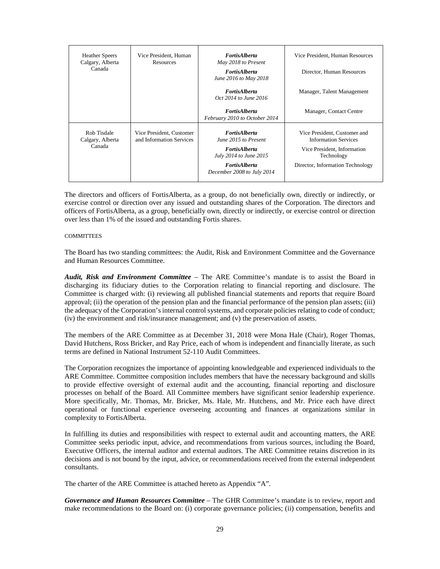| <b>Heather Speers</b><br>Calgary, Alberta<br>Canada | Vice President, Human<br><b>Resources</b>            | <b>FortisAlberta</b><br>May 2018 to Present<br><b>FortisAlberta</b><br>June 2016 to May 2018<br><b>FortisAlberta</b><br><i>Oct</i> 2014 to June 2016 | Vice President, Human Resources<br>Director, Human Resources<br>Manager, Talent Management                                                   |
|-----------------------------------------------------|------------------------------------------------------|------------------------------------------------------------------------------------------------------------------------------------------------------|----------------------------------------------------------------------------------------------------------------------------------------------|
|                                                     |                                                      | <b>FortisAlberta</b><br>February 2010 to October 2014                                                                                                | Manager, Contact Centre                                                                                                                      |
| Rob Tisdale<br>Calgary, Alberta<br>Canada           | Vice President, Customer<br>and Information Services | <b>FortisAlberta</b><br>June 2015 to Present<br><i>FortisAlberta</i><br>July 2014 to June 2015<br><b>FortisAlberta</b><br>December 2008 to July 2014 | Vice President, Customer and<br><b>Information Services</b><br>Vice President, Information<br>Technology<br>Director, Information Technology |

The directors and officers of FortisAlberta, as a group, do not beneficially own, directly or indirectly, or exercise control or direction over any issued and outstanding shares of the Corporation. The directors and officers of FortisAlberta, as a group, beneficially own, directly or indirectly, or exercise control or direction over less than 1% of the issued and outstanding Fortis shares.

#### <span id="page-28-0"></span>**COMMITTEES**

The Board has two standing committees: the Audit, Risk and Environment Committee and the Governance and Human Resources Committee.

*Audit, Risk and Environment Committee* – The ARE Committee's mandate is to assist the Board in discharging its fiduciary duties to the Corporation relating to financial reporting and disclosure. The Committee is charged with: (i) reviewing all published financial statements and reports that require Board approval; (ii) the operation of the pension plan and the financial performance of the pension plan assets; (iii) the adequacy of the Corporation's internal control systems, and corporate policies relating to code of conduct; (iv) the environment and risk/insurance management; and (v) the preservation of assets.

The members of the ARE Committee as at December 31, 2018 were Mona Hale (Chair), Roger Thomas, David Hutchens, Ross Bricker, and Ray Price, each of whom is independent and financially literate, as such terms are defined in National Instrument 52-110 Audit Committees.

The Corporation recognizes the importance of appointing knowledgeable and experienced individuals to the ARE Committee. Committee composition includes members that have the necessary background and skills to provide effective oversight of external audit and the accounting, financial reporting and disclosure processes on behalf of the Board. All Committee members have significant senior leadership experience. More specifically, Mr. Thomas, Mr. Bricker, Ms. Hale, Mr. Hutchens, and Mr. Price each have direct operational or functional experience overseeing accounting and finances at organizations similar in complexity to FortisAlberta.

In fulfilling its duties and responsibilities with respect to external audit and accounting matters, the ARE Committee seeks periodic input, advice, and recommendations from various sources, including the Board, Executive Officers, the internal auditor and external auditors. The ARE Committee retains discretion in its decisions and is not bound by the input, advice, or recommendations received from the external independent consultants.

The charter of the ARE Committee is attached hereto as Appendix "A".

*Governance and Human Resources Committee* – The GHR Committee's mandate is to review, report and make recommendations to the Board on: (i) corporate governance policies; (ii) compensation, benefits and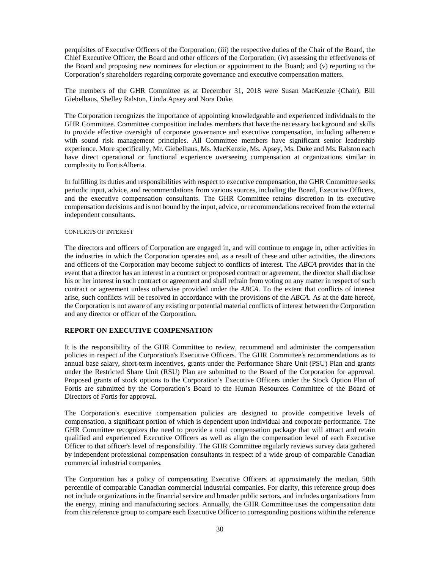perquisites of Executive Officers of the Corporation; (iii) the respective duties of the Chair of the Board, the Chief Executive Officer, the Board and other officers of the Corporation; (iv) assessing the effectiveness of the Board and proposing new nominees for election or appointment to the Board; and (v) reporting to the Corporation's shareholders regarding corporate governance and executive compensation matters.

The members of the GHR Committee as at December 31, 2018 were Susan MacKenzie (Chair), Bill Giebelhaus, Shelley Ralston, Linda Apsey and Nora Duke.

The Corporation recognizes the importance of appointing knowledgeable and experienced individuals to the GHR Committee. Committee composition includes members that have the necessary background and skills to provide effective oversight of corporate governance and executive compensation, including adherence with sound risk management principles. All Committee members have significant senior leadership experience. More specifically, Mr. Giebelhaus, Ms. MacKenzie, Ms. Apsey, Ms. Duke and Ms. Ralston each have direct operational or functional experience overseeing compensation at organizations similar in complexity to FortisAlberta.

In fulfilling its duties and responsibilities with respect to executive compensation, the GHR Committee seeks periodic input, advice, and recommendations from various sources, including the Board, Executive Officers, and the executive compensation consultants. The GHR Committee retains discretion in its executive compensation decisions and is not bound by the input, advice, or recommendations received from the external independent consultants.

#### <span id="page-29-0"></span>CONFLICTS OF INTEREST

The directors and officers of Corporation are engaged in, and will continue to engage in, other activities in the industries in which the Corporation operates and, as a result of these and other activities, the directors and officers of the Corporation may become subject to conflicts of interest. The *ABCA* provides that in the event that a director has an interest in a contract or proposed contract or agreement, the director shall disclose his or her interest in such contract or agreement and shall refrain from voting on any matter in respect of such contract or agreement unless otherwise provided under the *ABCA*. To the extent that conflicts of interest arise, such conflicts will be resolved in accordance with the provisions of the *ABCA*. As at the date hereof, the Corporation is not aware of any existing or potential material conflicts of interest between the Corporation and any director or officer of the Corporation.

# <span id="page-29-1"></span>**REPORT ON EXECUTIVE COMPENSATION**

It is the responsibility of the GHR Committee to review, recommend and administer the compensation policies in respect of the Corporation's Executive Officers. The GHR Committee's recommendations as to annual base salary, short-term incentives, grants under the Performance Share Unit (PSU) Plan and grants under the Restricted Share Unit (RSU) Plan are submitted to the Board of the Corporation for approval. Proposed grants of stock options to the Corporation's Executive Officers under the Stock Option Plan of Fortis are submitted by the Corporation's Board to the Human Resources Committee of the Board of Directors of Fortis for approval.

The Corporation's executive compensation policies are designed to provide competitive levels of compensation, a significant portion of which is dependent upon individual and corporate performance. The GHR Committee recognizes the need to provide a total compensation package that will attract and retain qualified and experienced Executive Officers as well as align the compensation level of each Executive Officer to that officer's level of responsibility. The GHR Committee regularly reviews survey data gathered by independent professional compensation consultants in respect of a wide group of comparable Canadian commercial industrial companies.

The Corporation has a policy of compensating Executive Officers at approximately the median, 50th percentile of comparable Canadian commercial industrial companies. For clarity, this reference group does not include organizations in the financial service and broader public sectors, and includes organizations from the energy, mining and manufacturing sectors. Annually, the GHR Committee uses the compensation data from this reference group to compare each Executive Officer to corresponding positions within the reference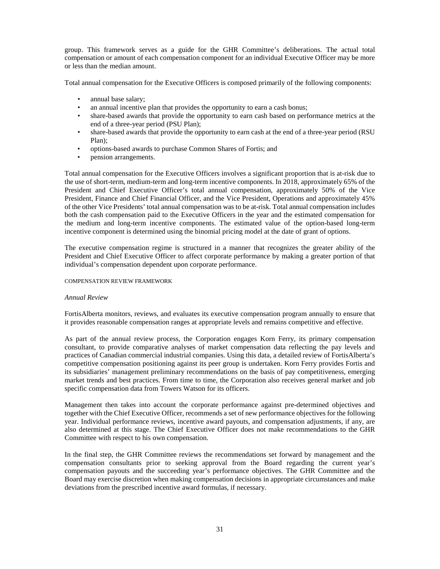group. This framework serves as a guide for the GHR Committee's deliberations. The actual total compensation or amount of each compensation component for an individual Executive Officer may be more or less than the median amount.

Total annual compensation for the Executive Officers is composed primarily of the following components:

- annual base salary;
- an annual incentive plan that provides the opportunity to earn a cash bonus;
- share-based awards that provide the opportunity to earn cash based on performance metrics at the end of a three-year period (PSU Plan);
- share-based awards that provide the opportunity to earn cash at the end of a three-year period (RSU) Plan);
- options-based awards to purchase Common Shares of Fortis; and
- pension arrangements.

Total annual compensation for the Executive Officers involves a significant proportion that is at-risk due to the use of short-term, medium-term and long-term incentive components. In 2018, approximately 65% of the President and Chief Executive Officer's total annual compensation, approximately 50% of the Vice President, Finance and Chief Financial Officer, and the Vice President, Operations and approximately 45% of the other Vice Presidents' total annual compensation was to be at-risk. Total annual compensation includes both the cash compensation paid to the Executive Officers in the year and the estimated compensation for the medium and long-term incentive components. The estimated value of the option-based long-term incentive component is determined using the binomial pricing model at the date of grant of options.

The executive compensation regime is structured in a manner that recognizes the greater ability of the President and Chief Executive Officer to affect corporate performance by making a greater portion of that individual's compensation dependent upon corporate performance.

#### <span id="page-30-0"></span>COMPENSATION REVIEW FRAMEWORK

#### *Annual Review*

FortisAlberta monitors, reviews, and evaluates its executive compensation program annually to ensure that it provides reasonable compensation ranges at appropriate levels and remains competitive and effective.

As part of the annual review process, the Corporation engages Korn Ferry, its primary compensation consultant, to provide comparative analyses of market compensation data reflecting the pay levels and practices of Canadian commercial industrial companies. Using this data, a detailed review of FortisAlberta's competitive compensation positioning against its peer group is undertaken. Korn Ferry provides Fortis and its subsidiaries' management preliminary recommendations on the basis of pay competitiveness, emerging market trends and best practices. From time to time, the Corporation also receives general market and job specific compensation data from Towers Watson for its officers.

Management then takes into account the corporate performance against pre-determined objectives and together with the Chief Executive Officer, recommends a set of new performance objectives for the following year. Individual performance reviews, incentive award payouts, and compensation adjustments, if any, are also determined at this stage. The Chief Executive Officer does not make recommendations to the GHR Committee with respect to his own compensation.

In the final step, the GHR Committee reviews the recommendations set forward by management and the compensation consultants prior to seeking approval from the Board regarding the current year's compensation payouts and the succeeding year's performance objectives. The GHR Committee and the Board may exercise discretion when making compensation decisions in appropriate circumstances and make deviations from the prescribed incentive award formulas, if necessary.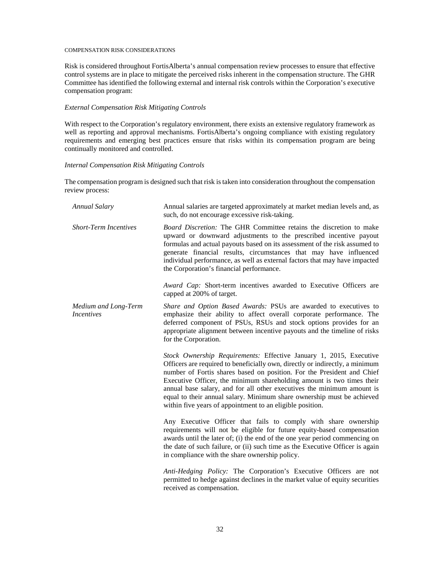#### <span id="page-31-0"></span>COMPENSATION RISK CONSIDERATIONS

Risk is considered throughout FortisAlberta's annual compensation review processes to ensure that effective control systems are in place to mitigate the perceived risks inherent in the compensation structure. The GHR Committee has identified the following external and internal risk controls within the Corporation's executive compensation program:

### *External Compensation Risk Mitigating Controls*

With respect to the Corporation's regulatory environment, there exists an extensive regulatory framework as well as reporting and approval mechanisms. FortisAlberta's ongoing compliance with existing regulatory requirements and emerging best practices ensure that risks within its compensation program are being continually monitored and controlled.

#### *Internal Compensation Risk Mitigating Controls*

The compensation program is designed such that risk is taken into consideration throughout the compensation review process:

| <b>Annual Salary</b>                      | Annual salaries are targeted approximately at market median levels and, as<br>such, do not encourage excessive risk-taking.                                                                                                                                                                                                                                                                                                                                                                                            |
|-------------------------------------------|------------------------------------------------------------------------------------------------------------------------------------------------------------------------------------------------------------------------------------------------------------------------------------------------------------------------------------------------------------------------------------------------------------------------------------------------------------------------------------------------------------------------|
| <b>Short-Term Incentives</b>              | <i>Board Discretion:</i> The GHR Committee retains the discretion to make<br>upward or downward adjustments to the prescribed incentive payout<br>formulas and actual payouts based on its assessment of the risk assumed to<br>generate financial results, circumstances that may have influenced<br>individual performance, as well as external factors that may have impacted<br>the Corporation's financial performance.<br><i>Award Cap:</i> Short-term incentives awarded to Executive Officers are              |
|                                           | capped at 200% of target.                                                                                                                                                                                                                                                                                                                                                                                                                                                                                              |
| Medium and Long-Term<br><i>Incentives</i> | Share and Option Based Awards: PSUs are awarded to executives to<br>emphasize their ability to affect overall corporate performance. The<br>deferred component of PSUs, RSUs and stock options provides for an<br>appropriate alignment between incentive payouts and the timeline of risks<br>for the Corporation.                                                                                                                                                                                                    |
|                                           | Stock Ownership Requirements: Effective January 1, 2015, Executive<br>Officers are required to beneficially own, directly or indirectly, a minimum<br>number of Fortis shares based on position. For the President and Chief<br>Executive Officer, the minimum shareholding amount is two times their<br>annual base salary, and for all other executives the minimum amount is<br>equal to their annual salary. Minimum share ownership must be achieved<br>within five years of appointment to an eligible position. |
|                                           | Any Executive Officer that fails to comply with share ownership<br>requirements will not be eligible for future equity-based compensation<br>awards until the later of; (i) the end of the one year period commencing on<br>the date of such failure, or (ii) such time as the Executive Officer is again<br>in compliance with the share ownership policy.                                                                                                                                                            |
|                                           | Anti-Hedging Policy: The Corporation's Executive Officers are not<br>permitted to hedge against declines in the market value of equity securities<br>received as compensation.                                                                                                                                                                                                                                                                                                                                         |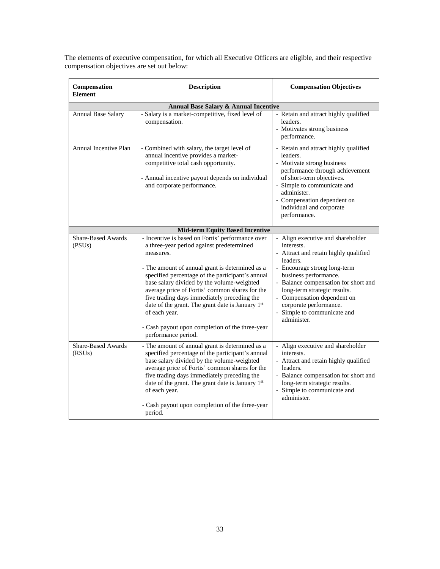The elements of executive compensation, for which all Executive Officers are eligible, and their respective compensation objectives are set out below:

| Compensation<br><b>Element</b>                   | <b>Description</b>                                                                                                                                                                                                                                                                                                                                                                                                                                                                                              | <b>Compensation Objectives</b>                                                                                                                                                                                                                                                                                                               |  |  |  |  |  |
|--------------------------------------------------|-----------------------------------------------------------------------------------------------------------------------------------------------------------------------------------------------------------------------------------------------------------------------------------------------------------------------------------------------------------------------------------------------------------------------------------------------------------------------------------------------------------------|----------------------------------------------------------------------------------------------------------------------------------------------------------------------------------------------------------------------------------------------------------------------------------------------------------------------------------------------|--|--|--|--|--|
| Annual Base Salary & Annual Incentive            |                                                                                                                                                                                                                                                                                                                                                                                                                                                                                                                 |                                                                                                                                                                                                                                                                                                                                              |  |  |  |  |  |
| <b>Annual Base Salary</b>                        | - Salary is a market-competitive, fixed level of<br>compensation.                                                                                                                                                                                                                                                                                                                                                                                                                                               | - Retain and attract highly qualified<br>leaders.<br>- Motivates strong business<br>performance.                                                                                                                                                                                                                                             |  |  |  |  |  |
| Annual Incentive Plan                            | - Combined with salary, the target level of<br>annual incentive provides a market-<br>competitive total cash opportunity.<br>- Annual incentive payout depends on individual<br>and corporate performance.                                                                                                                                                                                                                                                                                                      | - Retain and attract highly qualified<br>leaders.<br>- Motivate strong business<br>performance through achievement<br>of short-term objectives.<br>- Simple to communicate and<br>administer.<br>- Compensation dependent on<br>individual and corporate<br>performance.                                                                     |  |  |  |  |  |
|                                                  | <b>Mid-term Equity Based Incentive</b>                                                                                                                                                                                                                                                                                                                                                                                                                                                                          |                                                                                                                                                                                                                                                                                                                                              |  |  |  |  |  |
| <b>Share-Based Awards</b><br>(PSU <sub>s</sub> ) | - Incentive is based on Fortis' performance over<br>a three-year period against predetermined<br>measures.<br>- The amount of annual grant is determined as a<br>specified percentage of the participant's annual<br>base salary divided by the volume-weighted<br>average price of Fortis' common shares for the<br>five trading days immediately preceding the<br>date of the grant. The grant date is January 1st<br>of each year.<br>- Cash payout upon completion of the three-year<br>performance period. | - Align executive and shareholder<br>interests.<br>- Attract and retain highly qualified<br>leaders.<br>- Encourage strong long-term<br>business performance.<br>- Balance compensation for short and<br>long-term strategic results.<br>- Compensation dependent on<br>corporate performance.<br>- Simple to communicate and<br>administer. |  |  |  |  |  |
| <b>Share-Based Awards</b><br>(RSUs)              | - The amount of annual grant is determined as a<br>specified percentage of the participant's annual<br>base salary divided by the volume-weighted<br>average price of Fortis' common shares for the<br>five trading days immediately preceding the<br>date of the grant. The grant date is January 1st<br>of each year.<br>- Cash payout upon completion of the three-year<br>period.                                                                                                                           | - Align executive and shareholder<br>interests.<br>- Attract and retain highly qualified<br>leaders.<br>- Balance compensation for short and<br>long-term strategic results.<br>- Simple to communicate and<br>administer.                                                                                                                   |  |  |  |  |  |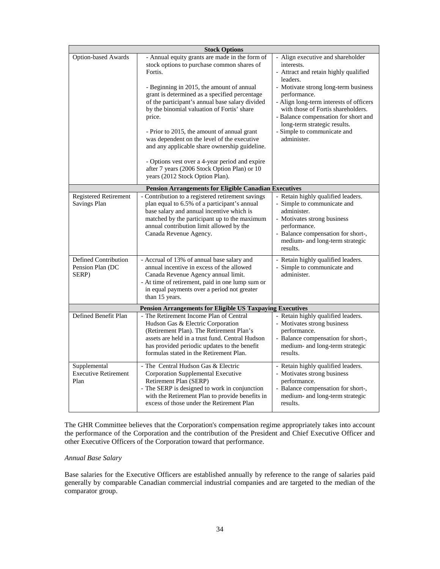|                                                                                                   | <b>Stock Options</b>                                                                                                                                                                                                                                                                                                                                                                                                                                                                                                                                                                                 |                                                                                                                                                                                                                                                                                                                                                                     |
|---------------------------------------------------------------------------------------------------|------------------------------------------------------------------------------------------------------------------------------------------------------------------------------------------------------------------------------------------------------------------------------------------------------------------------------------------------------------------------------------------------------------------------------------------------------------------------------------------------------------------------------------------------------------------------------------------------------|---------------------------------------------------------------------------------------------------------------------------------------------------------------------------------------------------------------------------------------------------------------------------------------------------------------------------------------------------------------------|
| <b>Option-based Awards</b>                                                                        | - Annual equity grants are made in the form of<br>stock options to purchase common shares of<br>Fortis.<br>- Beginning in 2015, the amount of annual<br>grant is determined as a specified percentage<br>of the participant's annual base salary divided<br>by the binomial valuation of Fortis' share<br>price.<br>- Prior to 2015, the amount of annual grant<br>was dependent on the level of the executive<br>and any applicable share ownership guideline.<br>- Options vest over a 4-year period and expire<br>after 7 years (2006 Stock Option Plan) or 10<br>years (2012 Stock Option Plan). | - Align executive and shareholder<br>interests.<br>- Attract and retain highly qualified<br>leaders.<br>- Motivate strong long-term business<br>performance.<br>- Align long-term interests of officers<br>with those of Fortis shareholders.<br>- Balance compensation for short and<br>long-term strategic results.<br>- Simple to communicate and<br>administer. |
|                                                                                                   | <b>Pension Arrangements for Eligible Canadian Executives</b>                                                                                                                                                                                                                                                                                                                                                                                                                                                                                                                                         |                                                                                                                                                                                                                                                                                                                                                                     |
| <b>Registered Retirement</b><br>Savings Plan<br>Defined Contribution<br>Pension Plan (DC<br>SERP) | Contribution to a registered retirement savings<br>plan equal to 6.5% of a participant's annual<br>base salary and annual incentive which is<br>matched by the participant up to the maximum<br>annual contribution limit allowed by the<br>Canada Revenue Agency.<br>- Accrual of 13% of annual base salary and<br>annual incentive in excess of the allowed<br>Canada Revenue Agency annual limit.<br>- At time of retirement, paid in one lump sum or<br>in equal payments over a period not greater<br>than 15 years.                                                                            | - Retain highly qualified leaders.<br>- Simple to communicate and<br>administer.<br>- Motivates strong business<br>performance.<br>- Balance compensation for short-,<br>medium- and long-term strategic<br>results.<br>- Retain highly qualified leaders.<br>- Simple to communicate and<br>administer.                                                            |
|                                                                                                   | <b>Pension Arrangements for Eligible US Taxpaying Executives</b>                                                                                                                                                                                                                                                                                                                                                                                                                                                                                                                                     |                                                                                                                                                                                                                                                                                                                                                                     |
| Defined Benefit Plan                                                                              | - The Retirement Income Plan of Central<br>Hudson Gas & Electric Corporation<br>(Retirement Plan). The Retirement Plan's<br>assets are held in a trust fund. Central Hudson<br>has provided periodic updates to the benefit<br>formulas stated in the Retirement Plan.                                                                                                                                                                                                                                                                                                                               | - Retain highly qualified leaders.<br>- Motivates strong business<br>performance.<br>- Balance compensation for short-,<br>medium- and long-term strategic<br>results.                                                                                                                                                                                              |
| Supplemental<br><b>Executive Retirement</b><br>Plan                                               | - The Central Hudson Gas & Electric<br>Corporation Supplemental Executive<br>Retirement Plan (SERP)<br>- The SERP is designed to work in conjunction<br>with the Retirement Plan to provide benefits in<br>excess of those under the Retirement Plan                                                                                                                                                                                                                                                                                                                                                 | - Retain highly qualified leaders.<br>- Motivates strong business<br>performance.<br>- Balance compensation for short-,<br>medium- and long-term strategic<br>results.                                                                                                                                                                                              |

The GHR Committee believes that the Corporation's compensation regime appropriately takes into account the performance of the Corporation and the contribution of the President and Chief Executive Officer and other Executive Officers of the Corporation toward that performance.

### *Annual Base Salary*

Base salaries for the Executive Officers are established annually by reference to the range of salaries paid generally by comparable Canadian commercial industrial companies and are targeted to the median of the comparator group.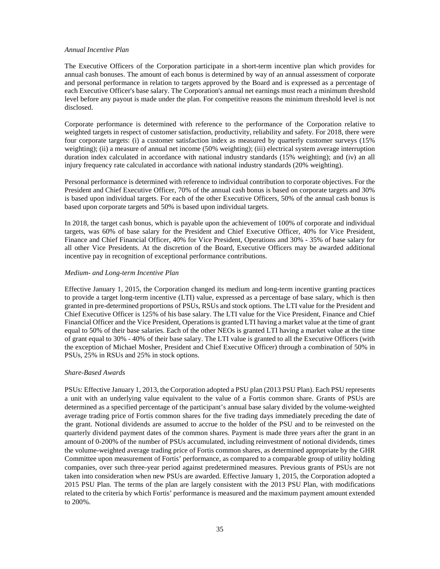#### *Annual Incentive Plan*

The Executive Officers of the Corporation participate in a short-term incentive plan which provides for annual cash bonuses. The amount of each bonus is determined by way of an annual assessment of corporate and personal performance in relation to targets approved by the Board and is expressed as a percentage of each Executive Officer's base salary. The Corporation's annual net earnings must reach a minimum threshold level before any payout is made under the plan. For competitive reasons the minimum threshold level is not disclosed.

Corporate performance is determined with reference to the performance of the Corporation relative to weighted targets in respect of customer satisfaction, productivity, reliability and safety. For 2018, there were four corporate targets: (i) a customer satisfaction index as measured by quarterly customer surveys (15% weighting); (ii) a measure of annual net income (50% weighting); (iii) electrical system average interruption duration index calculated in accordance with national industry standards (15% weighting); and (iv) an all injury frequency rate calculated in accordance with national industry standards (20% weighting).

Personal performance is determined with reference to individual contribution to corporate objectives. For the President and Chief Executive Officer, 70% of the annual cash bonus is based on corporate targets and 30% is based upon individual targets. For each of the other Executive Officers, 50% of the annual cash bonus is based upon corporate targets and 50% is based upon individual targets.

In 2018, the target cash bonus, which is payable upon the achievement of 100% of corporate and individual targets, was 60% of base salary for the President and Chief Executive Officer, 40% for Vice President, Finance and Chief Financial Officer, 40% for Vice President, Operations and 30% - 35% of base salary for all other Vice Presidents. At the discretion of the Board, Executive Officers may be awarded additional incentive pay in recognition of exceptional performance contributions.

#### *Medium- and Long-term Incentive Plan*

Effective January 1, 2015, the Corporation changed its medium and long-term incentive granting practices to provide a target long-term incentive (LTI) value, expressed as a percentage of base salary, which is then granted in pre-determined proportions of PSUs, RSUs and stock options. The LTI value for the President and Chief Executive Officer is 125% of his base salary. The LTI value for the Vice President, Finance and Chief Financial Officer and the Vice President, Operations is granted LTI having a market value at the time of grant equal to 50% of their base salaries. Each of the other NEOs is granted LTI having a market value at the time of grant equal to 30% - 40% of their base salary. The LTI value is granted to all the Executive Officers (with the exception of Michael Mosher, President and Chief Executive Officer) through a combination of 50% in PSUs, 25% in RSUs and 25% in stock options.

### *Share-Based Awards*

PSUs: Effective January 1, 2013, the Corporation adopted a PSU plan (2013 PSU Plan). Each PSU represents a unit with an underlying value equivalent to the value of a Fortis common share. Grants of PSUs are determined as a specified percentage of the participant's annual base salary divided by the volume-weighted average trading price of Fortis common shares for the five trading days immediately preceding the date of the grant. Notional dividends are assumed to accrue to the holder of the PSU and to be reinvested on the quarterly dividend payment dates of the common shares. Payment is made three years after the grant in an amount of 0-200% of the number of PSUs accumulated, including reinvestment of notional dividends, times the volume-weighted average trading price of Fortis common shares, as determined appropriate by the GHR Committee upon measurement of Fortis' performance, as compared to a comparable group of utility holding companies, over such three-year period against predetermined measures. Previous grants of PSUs are not taken into consideration when new PSUs are awarded. Effective January 1, 2015, the Corporation adopted a 2015 PSU Plan. The terms of the plan are largely consistent with the 2013 PSU Plan, with modifications related to the criteria by which Fortis' performance is measured and the maximum payment amount extended to 200%.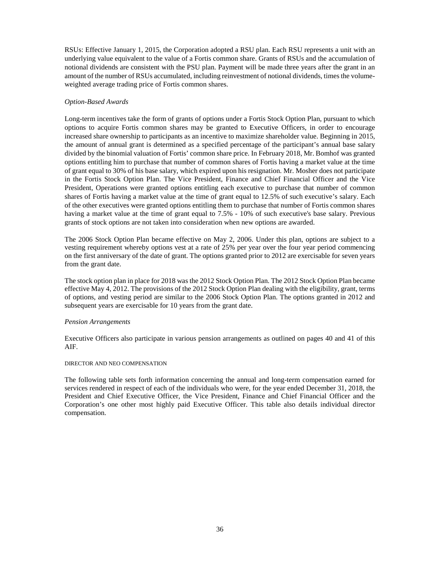RSUs: Effective January 1, 2015, the Corporation adopted a RSU plan. Each RSU represents a unit with an underlying value equivalent to the value of a Fortis common share. Grants of RSUs and the accumulation of notional dividends are consistent with the PSU plan. Payment will be made three years after the grant in an amount of the number of RSUs accumulated, including reinvestment of notional dividends, times the volumeweighted average trading price of Fortis common shares.

### *Option-Based Awards*

Long-term incentives take the form of grants of options under a Fortis Stock Option Plan, pursuant to which options to acquire Fortis common shares may be granted to Executive Officers, in order to encourage increased share ownership to participants as an incentive to maximize shareholder value. Beginning in 2015, the amount of annual grant is determined as a specified percentage of the participant's annual base salary divided by the binomial valuation of Fortis' common share price. In February 2018, Mr. Bomhof was granted options entitling him to purchase that number of common shares of Fortis having a market value at the time of grant equal to 30% of his base salary, which expired upon his resignation. Mr. Mosher does not participate in the Fortis Stock Option Plan. The Vice President, Finance and Chief Financial Officer and the Vice President, Operations were granted options entitling each executive to purchase that number of common shares of Fortis having a market value at the time of grant equal to 12.5% of such executive's salary. Each of the other executives were granted options entitling them to purchase that number of Fortis common shares having a market value at the time of grant equal to 7.5% - 10% of such executive's base salary. Previous grants of stock options are not taken into consideration when new options are awarded.

The 2006 Stock Option Plan became effective on May 2, 2006. Under this plan, options are subject to a vesting requirement whereby options vest at a rate of 25% per year over the four year period commencing on the first anniversary of the date of grant. The options granted prior to 2012 are exercisable for seven years from the grant date.

The stock option plan in place for 2018 was the 2012 Stock Option Plan. The 2012 Stock Option Plan became effective May 4, 2012. The provisions of the 2012 Stock Option Plan dealing with the eligibility, grant, terms of options, and vesting period are similar to the 2006 Stock Option Plan. The options granted in 2012 and subsequent years are exercisable for 10 years from the grant date.

#### *Pension Arrangements*

Executive Officers also participate in various pension arrangements as outlined on pages 40 and 41 of this AIF.

### <span id="page-35-0"></span>DIRECTOR AND NEO COMPENSATION

The following table sets forth information concerning the annual and long-term compensation earned for services rendered in respect of each of the individuals who were, for the year ended December 31, 2018, the President and Chief Executive Officer, the Vice President, Finance and Chief Financial Officer and the Corporation's one other most highly paid Executive Officer. This table also details individual director compensation.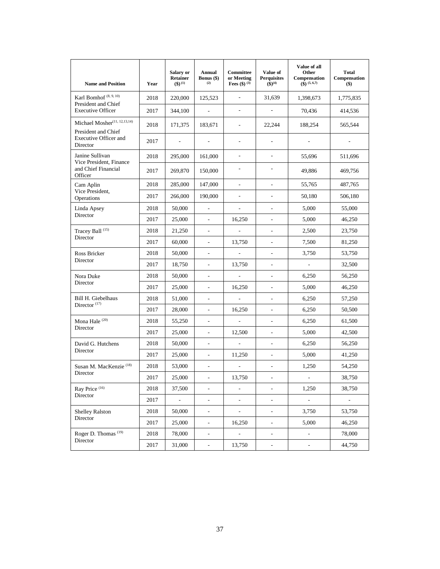| <b>Name and Position</b>                                          | Year | Salary or<br><b>Retainer</b><br>$($ \$) $^{(1)}$ | Annual<br>Bonus (\$)<br>(2) | Committee<br>or Meeting<br><b>Fees</b> (\$) $^{(3)}$ | Value of<br><b>Perquisites</b><br>$(\hat{\$})^{(4)}$ | Value of all<br>Other<br>Compensation<br>$\widehat{(S)}$ (5, 6,7) | <b>Total</b><br>Compensation<br>$($ \$) |
|-------------------------------------------------------------------|------|--------------------------------------------------|-----------------------------|------------------------------------------------------|------------------------------------------------------|-------------------------------------------------------------------|-----------------------------------------|
| Karl Bomhof <sup>(8, 9, 10)</sup><br>President and Chief          | 2018 | 220,000                                          | 125,523                     | ÷,                                                   | 31,639                                               | 1,398,673                                                         | 1,775,835                               |
| <b>Executive Officer</b>                                          | 2017 | 344,100                                          | $\mathbb{L}$                | ÷,                                                   | ÷,                                                   | 70,436                                                            | 414,536                                 |
| Michael Mosher <sup>(11, 12, 13, 14)</sup><br>President and Chief | 2018 | 171,375                                          | 183,671                     | ÷,                                                   | 22,244                                               | 188,254                                                           | 565,544                                 |
| <b>Executive Officer and</b><br>Director                          | 2017 | $\overline{\phantom{a}}$                         | $\overline{\phantom{a}}$    | $\overline{a}$                                       | $\overline{\phantom{a}}$                             |                                                                   |                                         |
| Janine Sullivan<br>Vice President, Finance                        | 2018 | 295,000                                          | 161,000                     | $\overline{a}$                                       | $\overline{a}$                                       | 55,696                                                            | 511,696                                 |
| and Chief Financial<br>Officer                                    | 2017 | 269,870                                          | 150,000                     | $\overline{a}$                                       | ÷,                                                   | 49,886                                                            | 469,756                                 |
| Cam Aplin                                                         | 2018 | 285,000                                          | 147,000                     | $\frac{1}{2}$                                        | $\overline{\phantom{a}}$                             | 55,765                                                            | 487,765                                 |
| Vice President,<br>Operations                                     | 2017 | 266,000                                          | 190,000                     | $\overline{\phantom{0}}$                             | $\overline{\phantom{a}}$                             | 50,180                                                            | 506,180                                 |
| Linda Apsey                                                       | 2018 | 50,000                                           | $\overline{a}$              | ÷,                                                   | $\sim$                                               | 5,000                                                             | 55,000                                  |
| Director                                                          | 2017 | 25,000                                           | ÷,                          | 16,250                                               | $\overline{\phantom{a}}$                             | 5,000                                                             | 46,250                                  |
| Tracey Ball <sup>(15)</sup>                                       | 2018 | 21,250                                           | $\overline{\phantom{a}}$    | ÷,                                                   | $\overline{\phantom{a}}$                             | 2,500                                                             | 23,750                                  |
| Director                                                          | 2017 | 60,000                                           | $\frac{1}{2}$               | 13,750                                               | ÷,                                                   | 7,500                                                             | 81,250                                  |
| Ross Bricker                                                      | 2018 | 50,000                                           | $\blacksquare$              | $\overline{\phantom{a}}$                             | $\overline{\phantom{a}}$                             | 3,750                                                             | 53,750                                  |
| Director                                                          | 2017 | 18,750                                           | $\overline{\phantom{a}}$    | 13,750                                               | $\sim$                                               | $\sim$                                                            | 32,500                                  |
| Nora Duke                                                         | 2018 | 50,000                                           | $\overline{\phantom{a}}$    | $\overline{\phantom{a}}$                             | $\overline{\phantom{a}}$                             | 6,250                                                             | 56,250                                  |
| Director                                                          | 2017 | 25,000                                           | $\blacksquare$              | 16,250                                               | ÷,                                                   | 5,000                                                             | 46,250                                  |
| Bill H. Giebelhaus                                                | 2018 | 51,000                                           | $\overline{\phantom{a}}$    | $\overline{a}$                                       | $\overline{\phantom{a}}$                             | 6,250                                                             | 57,250                                  |
| Director <sup>(17)</sup>                                          | 2017 | 28,000                                           | $\blacksquare$              | 16,250                                               | $\blacksquare$                                       | 6,250                                                             | 50,500                                  |
| Mona Hale <sup>(20)</sup>                                         | 2018 | 55,250                                           | $\overline{\phantom{a}}$    | $\Box$                                               | $\overline{\phantom{a}}$                             | 6,250                                                             | 61,500                                  |
| Director                                                          | 2017 | 25,000                                           | $\frac{1}{2}$               | 12,500                                               | $\overline{\phantom{a}}$                             | 5,000                                                             | 42,500                                  |
| David G. Hutchens                                                 | 2018 | 50,000                                           | $\frac{1}{2}$               | $\overline{\phantom{a}}$                             | $\overline{\phantom{a}}$                             | 6,250                                                             | 56,250                                  |
| Director                                                          | 2017 | 25,000                                           | $\overline{\phantom{a}}$    | 11,250                                               | $\sim$                                               | 5,000                                                             | 41,250                                  |
| Susan M. MacKenzie <sup>(18)</sup>                                | 2018 | 53,000                                           | $\overline{\phantom{a}}$    | ÷,                                                   | $\qquad \qquad \blacksquare$                         | 1,250                                                             | 54,250                                  |
| Director                                                          | 2017 | 25,000                                           | $\overline{a}$              | 13,750                                               | $\tilde{\phantom{a}}$                                | $\sim$                                                            | 38,750                                  |
| Ray Price (16)                                                    | 2018 | 37,500                                           | $\overline{\phantom{a}}$    | $\frac{1}{2}$                                        | $\blacksquare$                                       | 1,250                                                             | 38,750                                  |
| Director                                                          | 2017 | ÷,                                               | $\overline{\phantom{a}}$    | -                                                    | $\overline{\phantom{a}}$                             | $\Box$                                                            | $\blacksquare$                          |
| <b>Shelley Ralston</b>                                            | 2018 | 50,000                                           | $\blacksquare$              | $\frac{1}{2}$                                        | $\overline{\phantom{a}}$                             | 3,750                                                             | 53,750                                  |
| Director                                                          | 2017 | 25,000                                           | $\overline{\phantom{a}}$    | 16,250                                               | $\overline{\phantom{a}}$                             | 5,000                                                             | 46,250                                  |
| Roger D. Thomas <sup>(19)</sup>                                   | 2018 | 78,000                                           | $\overline{\phantom{a}}$    | ÷,                                                   | ÷                                                    |                                                                   | 78,000                                  |
| Director                                                          | 2017 | 31,000                                           | $\Box$                      | 13,750                                               | $\overline{\phantom{a}}$                             | $\overline{\phantom{a}}$                                          | 44,750                                  |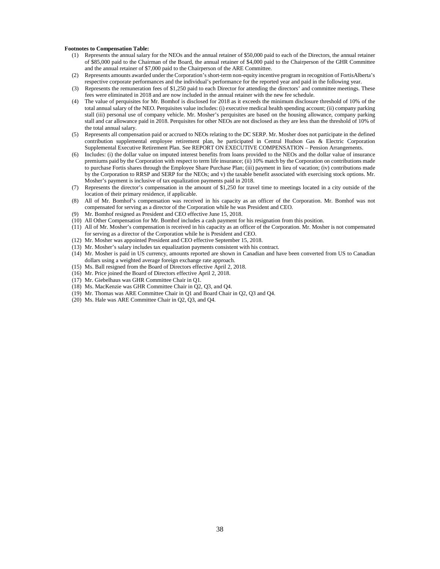#### **Footnotes to Compensation Table:**

- (1) Represents the annual salary for the NEOs and the annual retainer of \$50,000 paid to each of the Directors, the annual retainer of \$85,000 paid to the Chairman of the Board, the annual retainer of \$4,000 paid to the Chairperson of the GHR Committee and the annual retainer of \$7,000 paid to the Chairperson of the ARE Committee.
- (2) Represents amounts awarded under the Corporation's short-term non-equity incentive program in recognition of FortisAlberta's respective corporate performances and the individual's performance for the reported year and paid in the following year.
- (3) Represents the remuneration fees of \$1,250 paid to each Director for attending the directors' and committee meetings. These fees were eliminated in 2018 and are now included in the annual retainer with the new fee schedule.
- (4) The value of perquisites for Mr. Bomhof is disclosed for 2018 as it exceeds the minimum disclosure threshold of 10% of the total annual salary of the NEO. Perquisites value includes: (i) executive medical health spending account; (ii) company parking stall (iii) personal use of company vehicle. Mr. Mosher's perquisites are based on the housing allowance, company parking stall and car allowance paid in 2018. Perquisites for other NEOs are not disclosed as they are less than the threshold of 10% of the total annual salary.
- (5) Represents all compensation paid or accrued to NEOs relating to the DC SERP. Mr. Mosher does not participate in the defined contribution supplemental employee retirement plan, he participated in Central Hudson Gas & Electric Corporation Supplemental Executive Retirement Plan. See REPORT ON EXECUTIVE COMPENSATION – Pension Arrangements.
- (6) Includes: (i) the dollar value on imputed interest benefits from loans provided to the NEOs and the dollar value of insurance premiums paid by the Corporation with respect to term life insurance; (ii) 10% match by the Corporation on contributions made to purchase Fortis shares through the Employee Share Purchase Plan; (iii) payment in lieu of vacation; (iv) contributions made by the Corporation to RRSP and SERP for the NEOs; and v) the taxable benefit associated with exercising stock options. Mr. Mosher's payment is inclusive of tax equalization payments paid in 2018.
- (7) Represents the director's compensation in the amount of \$1,250 for travel time to meetings located in a city outside of the location of their primary residence, if applicable.
- (8) All of Mr. Bomhof's compensation was received in his capacity as an officer of the Corporation. Mr. Bomhof was not compensated for serving as a director of the Corporation while he was President and CEO.
- (9) Mr. Bomhof resigned as President and CEO effective June 15, 2018.
- (10) All Other Compensation for Mr. Bomhof includes a cash payment for his resignation from this position.
- (11) All of Mr. Mosher's compensation is received in his capacity as an officer of the Corporation. Mr. Mosher is not compensated for serving as a director of the Corporation while he is President and CEO.
- (12) Mr. Mosher was appointed President and CEO effective September 15, 2018.
- (13) Mr. Mosher's salary includes tax equalization payments consistent with his contract.
- (14) Mr. Mosher is paid in US currency, amounts reported are shown in Canadian and have been converted from US to Canadian dollars using a weighted average foreign exchange rate approach.
- (15) Ms. Ball resigned from the Board of Directors effective April 2, 2018.
- (16) Mr. Price joined the Board of Directors effective April 2, 2018.
- (17) Mr. Giebelhaus was GHR Committee Chair in Q1.
- (18) Ms. MacKenzie was GHR Committee Chair in Q2, Q3, and Q4.
- (19) Mr. Thomas was ARE Committee Chair in Q1 and Board Chair in Q2, Q3 and Q4.
- (20) Ms. Hale was ARE Committee Chair in Q2, Q3, and Q4.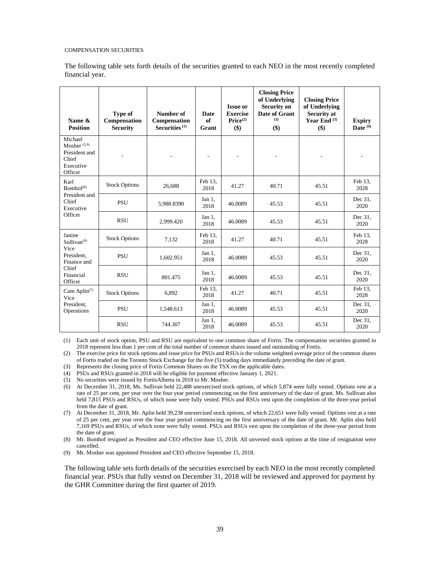#### <span id="page-38-0"></span>COMPENSATION SECURITIES

The following table sets forth details of the securities granted to each NEO in the most recently completed financial year.

| Name &<br><b>Position</b>                                                   | Type of<br>Compensation<br><b>Security</b> | Number of<br>Compensation<br>Securities $(1)$ | Date<br>of<br>Grant | <b>Issue or</b><br><b>Exercise</b><br>Price <sup>(2)</sup><br>\$) | <b>Closing Price</b><br>of Underlying<br><b>Security on</b><br>Date of Grant<br>(3)<br>$($)$ | <b>Closing Price</b><br>of Underlying<br>Security at<br>Year End $(3)$<br>\$) | <b>Expiry</b><br>Date $(4)$ |
|-----------------------------------------------------------------------------|--------------------------------------------|-----------------------------------------------|---------------------|-------------------------------------------------------------------|----------------------------------------------------------------------------------------------|-------------------------------------------------------------------------------|-----------------------------|
| Michael<br>Mosher $(5,9)$<br>President and<br>Chief<br>Executive<br>Officer |                                            |                                               | ٠                   |                                                                   |                                                                                              |                                                                               |                             |
| Karl<br>Bomhof <sup>(8)</sup>                                               | <b>Stock Options</b>                       | 26,688                                        | Feb 13.<br>2018     | 41.27                                                             | 40.71                                                                                        | 45.51                                                                         | Feb 13.<br>2028             |
| President and<br>Chief<br>Executive<br>Officer                              | <b>PSU</b>                                 | 5,988.8390                                    | Jan 1,<br>2018      | 46.0089                                                           | 45.53                                                                                        | 45.51                                                                         | Dec 31.<br>2020             |
|                                                                             | <b>RSU</b>                                 | 2,999.420                                     | Jan 1,<br>2018      | 46.0089                                                           | 45.53                                                                                        | 45.51                                                                         | Dec 31.<br>2020             |
| Janine<br>Sullivan <sup>(6)</sup>                                           | <b>Stock Options</b>                       | 7,132                                         | Feb 13.<br>2018     | 41.27                                                             | 40.71                                                                                        | 45.51                                                                         | Feb 13,<br>2028             |
| Vice<br>President.<br>Finance and                                           | <b>PSU</b>                                 | 1,602.951                                     | Jan 1.<br>2018      | 46.0089                                                           | 45.53                                                                                        | 45.51                                                                         | Dec 31.<br>2020             |
| Chief<br>Financial<br>Officer                                               | <b>RSU</b>                                 | 801.475                                       | Jan $1$ .<br>2018   | 46.0089                                                           | 45.53                                                                                        | 45.51                                                                         | Dec 31,<br>2020             |
| Cam Aplin <sup><math>(7)</math></sup><br>Vice<br>President,<br>Operations   | <b>Stock Options</b>                       | 6,892                                         | Feb 13,<br>2018     | 41.27                                                             | 40.71                                                                                        | 45.51                                                                         | Feb 13.<br>2028             |
|                                                                             | <b>PSU</b>                                 | 1,548.613                                     | Jan 1,<br>2018      | 46.0089                                                           | 45.53                                                                                        | 45.51                                                                         | Dec 31.<br>2020             |
|                                                                             | <b>RSU</b>                                 | 744.307                                       | Jan 1,<br>2018      | 46.0089                                                           | 45.53                                                                                        | 45.51                                                                         | Dec 31.<br>2020             |

(1) Each unit of stock option, PSU and RSU are equivalent to one common share of Fortis. The compensation securities granted in 2018 represent less than 1 per cent of the total number of common shares issued and outstanding of Fortis.

(2) The exercise price for stock options and issue price for PSUs and RSUs is the volume weighted average price of the common shares of Fortis traded on the Toronto Stock Exchange for the five (5) trading days immediately preceding the date of grant.

(3) Represents the closing price of Fortis Common Shares on the TSX on the applicable dates.

(4) PSUs and RSUs granted in 2018 will be eligible for payment effective January 1, 2021.

(5) No securities were issued by FortisAlberta in 2018 to Mr. Mosher.

(6) At December 31, 2018, Ms. Sullivan held 22,488 unexercised stock options, of which 5,874 were fully vested. Options vest at a rate of 25 per cent, per year over the four year period commencing on the first anniversary of the date of grant. Ms. Sullivan also held 7,815 PSUs and RSUs, of which none were fully vested. PSUs and RSUs vest upon the completion of the three-year period from the date of grant.

(7) At December 31, 2018, Mr. Aplin held 39,238 unexercised stock options, of which 22,651 were fully vested. Options vest at a rate of 25 per cent, per year over the four year period commencing on the first anniversary of the date of grant. Mr. Aplin also held 7,169 PSUs and RSUs, of which none were fully vested. PSUs and RSUs vest upon the completion of the three-year period from the date of grant.

(8) Mr. Bomhof resigned as President and CEO effective June 15, 2018. All unvested stock options at the time of resignation were cancelled.

(9) Mr. Mosher was appointed President and CEO effective September 15, 2018.

The following table sets forth details of the securities exercised by each NEO in the most recently completed financial year. PSUs that fully vested on December 31, 2018 will be reviewed and approved for payment by the GHR Committee during the first quarter of 2019.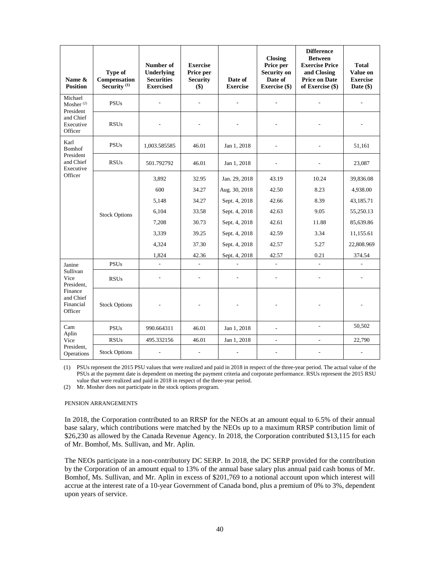| Name &<br><b>Position</b>                                                      | Type of<br>Compensation<br>Security <sup>(1)</sup> | Number of<br><b>Underlying</b><br><b>Securities</b><br><b>Exercised</b> | <b>Exercise</b><br>Price per<br><b>Security</b><br>$($)$ | Date of<br><b>Exercise</b> | <b>Closing</b><br>Price per<br><b>Security on</b><br>Date of<br>Exercise (\$) | <b>Difference</b><br><b>Between</b><br><b>Exercise Price</b><br>and Closing<br><b>Price on Date</b><br>of Exercise (\$) | <b>Total</b><br>Value on<br><b>Exercise</b><br>Date $(\$)$ |
|--------------------------------------------------------------------------------|----------------------------------------------------|-------------------------------------------------------------------------|----------------------------------------------------------|----------------------------|-------------------------------------------------------------------------------|-------------------------------------------------------------------------------------------------------------------------|------------------------------------------------------------|
| Michael<br>Mosher <sup>(2)</sup><br>President                                  | <b>PSUs</b>                                        |                                                                         | $\overline{a}$                                           |                            |                                                                               |                                                                                                                         |                                                            |
| and Chief<br>Executive<br>Officer                                              | <b>RSUs</b>                                        |                                                                         |                                                          |                            |                                                                               |                                                                                                                         |                                                            |
| Karl<br><b>Bomhof</b>                                                          | <b>PSUs</b>                                        | 1,003.585585                                                            | 46.01                                                    | Jan 1, 2018                | $\overline{a}$                                                                |                                                                                                                         | 51,161                                                     |
| President<br>and Chief<br>Executive                                            | <b>RSUs</b>                                        | 501.792792                                                              | 46.01                                                    | Jan 1, 2018                | $\overline{a}$                                                                |                                                                                                                         | 23,087                                                     |
| Officer                                                                        |                                                    | 3,892                                                                   | 32.95                                                    | Jan. 29, 2018              | 43.19                                                                         | 10.24                                                                                                                   | 39,836.08                                                  |
|                                                                                | <b>Stock Options</b>                               | 600                                                                     | 34.27                                                    | Aug. 30, 2018              | 42.50                                                                         | 8.23                                                                                                                    | 4,938.00                                                   |
|                                                                                |                                                    | 5,148                                                                   | 34.27                                                    | Sept. 4, 2018              | 42.66                                                                         | 8.39                                                                                                                    | 43,185.71                                                  |
|                                                                                |                                                    | 6,104                                                                   | 33.58                                                    | Sept. 4, 2018              | 42.63                                                                         | 9.05                                                                                                                    | 55,250.13                                                  |
|                                                                                |                                                    | 7,208                                                                   | 30.73                                                    | Sept. 4, 2018              | 42.61                                                                         | 11.88                                                                                                                   | 85,639.86                                                  |
|                                                                                |                                                    | 3,339                                                                   | 39.25                                                    | Sept. 4, 2018              | 42.59                                                                         | 3.34                                                                                                                    | 11,155.61                                                  |
|                                                                                |                                                    | 4,324                                                                   | 37.30                                                    | Sept. 4, 2018              | 42.57                                                                         | 5.27                                                                                                                    | 22,808.969                                                 |
|                                                                                |                                                    | 1,824                                                                   | 42.36                                                    | Sept. 4, 2018              | 42.57                                                                         | 0.21                                                                                                                    | 374.54                                                     |
| Janine                                                                         | $\overline{\mathrm{PSUs}}$                         | $\overline{a}$                                                          | $\overline{a}$                                           | $\overline{a}$             | $\overline{a}$                                                                | L.                                                                                                                      | $\overline{a}$                                             |
| Sullivan<br>Vice<br>President.<br>Finance<br>and Chief<br>Financial<br>Officer | <b>RSUs</b>                                        |                                                                         |                                                          |                            |                                                                               |                                                                                                                         |                                                            |
|                                                                                | <b>Stock Options</b>                               |                                                                         | L,                                                       |                            | $\overline{a}$                                                                |                                                                                                                         |                                                            |
| Cam<br>Aplin                                                                   | <b>PSUs</b>                                        | 990.664311                                                              | 46.01                                                    | Jan 1, 2018                | L.                                                                            | ÷,                                                                                                                      | 50,502                                                     |
| Vice                                                                           | <b>RSUs</b>                                        | 495.332156                                                              | 46.01                                                    | Jan 1, 2018                | $\frac{1}{2}$                                                                 | ÷.                                                                                                                      | 22,790                                                     |
| President,<br>Operations                                                       | <b>Stock Options</b>                               | L,                                                                      | ÷,                                                       |                            |                                                                               |                                                                                                                         |                                                            |

(1) PSUs represent the 2015 PSU values that were realized and paid in 2018 in respect of the three-year period. The actual value of the PSUs at the payment date is dependent on meeting the payment criteria and corporate performance. RSUs represent the 2015 RSU value that were realized and paid in 2018 in respect of the three-year period.

(2) Mr. Mosher does not participate in the stock options program.

#### <span id="page-39-0"></span>PENSION ARRANGEMENTS

In 2018, the Corporation contributed to an RRSP for the NEOs at an amount equal to 6.5% of their annual base salary, which contributions were matched by the NEOs up to a maximum RRSP contribution limit of \$26,230 as allowed by the Canada Revenue Agency. In 2018, the Corporation contributed \$13,115 for each of Mr. Bomhof, Ms. Sullivan, and Mr. Aplin.

The NEOs participate in a non-contributory DC SERP. In 2018, the DC SERP provided for the contribution by the Corporation of an amount equal to 13% of the annual base salary plus annual paid cash bonus of Mr. Bomhof, Ms. Sullivan, and Mr. Aplin in excess of \$201,769 to a notional account upon which interest will accrue at the interest rate of a 10-year Government of Canada bond, plus a premium of 0% to 3%, dependent upon years of service.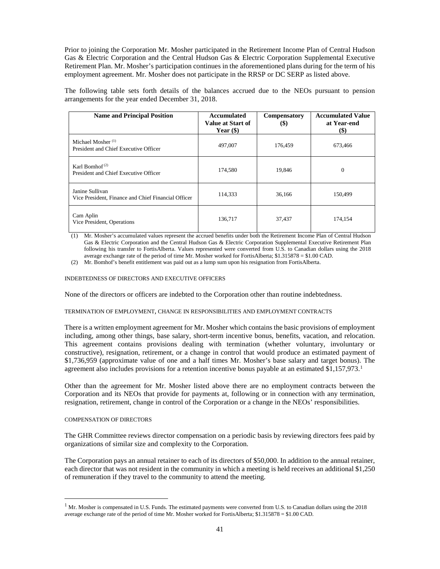Prior to joining the Corporation Mr. Mosher participated in the Retirement Income Plan of Central Hudson Gas & Electric Corporation and the Central Hudson Gas & Electric Corporation Supplemental Executive Retirement Plan. Mr. Mosher's participation continues in the aforementioned plans during for the term of his employment agreement. Mr. Mosher does not participate in the RRSP or DC SERP as listed above.

The following table sets forth details of the balances accrued due to the NEOs pursuant to pension arrangements for the year ended December 31, 2018.

| <b>Name and Principal Position</b>                                               | Accumulated<br>Value at Start of<br>Year $(\$)$ | <b>Compensatory</b><br>$\left( \text{\$}\right)$ | <b>Accumulated Value</b><br>at Year-end<br>$(\$)$ |
|----------------------------------------------------------------------------------|-------------------------------------------------|--------------------------------------------------|---------------------------------------------------|
| Michael Mosher <sup>(1)</sup><br>President and Chief Executive Officer           | 497,007                                         | 176,459                                          | 673,466                                           |
| Karl Bomhof <sup><math>(2)</math></sup><br>President and Chief Executive Officer | 174.580                                         | 19.846                                           | $\Omega$                                          |
| Janine Sullivan<br>Vice President, Finance and Chief Financial Officer           | 114,333                                         | 36,166                                           | 150,499                                           |
| Cam Aplin<br>Vice President, Operations                                          | 136,717                                         | 37,437                                           | 174,154                                           |

(1) Mr. Mosher's accumulated values represent the accrued benefits under both the Retirement Income Plan of Central Hudson Gas & Electric Corporation and the Central Hudson Gas & Electric Corporation Supplemental Executive Retirement Plan following his transfer to FortisAlberta. Values represented were converted from U.S. to Canadian dollars using the 2018 average exchange rate of the period of time Mr. Mosher worked for FortisAlberta; \$1.315878 = \$1.00 CAD.

(2) Mr. Bomhof's benefit entitlement was paid out as a lump sum upon his resignation from FortisAlberta.

<span id="page-40-0"></span>INDEBTEDNESS OF DIRECTORS AND EXECUTIVE OFFICERS

None of the directors or officers are indebted to the Corporation other than routine indebtedness.

#### <span id="page-40-1"></span>TERMINATION OF EMPLOYMENT, CHANGE IN RESPONSIBILITIES AND EMPLOYMENT CONTRACTS

There is a written employment agreement for Mr. Mosher which contains the basic provisions of employment including, among other things, base salary, short-term incentive bonus, benefits, vacation, and relocation. This agreement contains provisions dealing with termination (whether voluntary, involuntary or constructive), resignation, retirement, or a change in control that would produce an estimated payment of \$1,736,959 (approximate value of one and a half times Mr. Mosher's base salary and target bonus). The agreement also includes provisions for a retention incentive bonus payable at an estimated  $$1,157,973$ <sup>1</sup>

Other than the agreement for Mr. Mosher listed above there are no employment contracts between the Corporation and its NEOs that provide for payments at, following or in connection with any termination, resignation, retirement, change in control of the Corporation or a change in the NEOs' responsibilities.

#### <span id="page-40-2"></span>COMPENSATION OF DIRECTORS

The GHR Committee reviews director compensation on a periodic basis by reviewing directors fees paid by organizations of similar size and complexity to the Corporation.

The Corporation pays an annual retainer to each of its directors of \$50,000. In addition to the annual retainer, each director that was not resident in the community in which a meeting is held receives an additional \$1,250 of remuneration if they travel to the community to attend the meeting.

<span id="page-40-3"></span><sup>&</sup>lt;sup>1</sup> Mr. Mosher is compensated in U.S. Funds. The estimated payments were converted from U.S. to Canadian dollars using the 2018 average exchange rate of the period of time Mr. Mosher worked for FortisAlberta; \$1.315878 = \$1.00 CAD.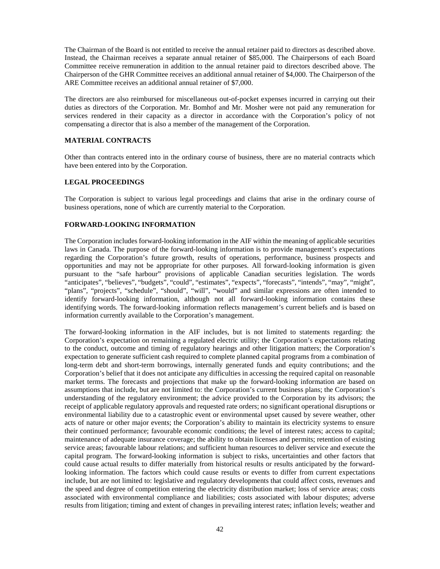The Chairman of the Board is not entitled to receive the annual retainer paid to directors as described above. Instead, the Chairman receives a separate annual retainer of \$85,000. The Chairpersons of each Board Committee receive remuneration in addition to the annual retainer paid to directors described above. The Chairperson of the GHR Committee receives an additional annual retainer of \$4,000. The Chairperson of the ARE Committee receives an additional annual retainer of \$7,000.

The directors are also reimbursed for miscellaneous out-of-pocket expenses incurred in carrying out their duties as directors of the Corporation. Mr. Bomhof and Mr. Mosher were not paid any remuneration for services rendered in their capacity as a director in accordance with the Corporation's policy of not compensating a director that is also a member of the management of the Corporation.

# <span id="page-41-0"></span>**MATERIAL CONTRACTS**

Other than contracts entered into in the ordinary course of business, there are no material contracts which have been entered into by the Corporation.

### <span id="page-41-1"></span>**LEGAL PROCEEDINGS**

The Corporation is subject to various legal proceedings and claims that arise in the ordinary course of business operations, none of which are currently material to the Corporation.

### <span id="page-41-2"></span>**FORWARD-LOOKING INFORMATION**

The Corporation includes forward-looking information in the AIF within the meaning of applicable securities laws in Canada. The purpose of the forward-looking information is to provide management's expectations regarding the Corporation's future growth, results of operations, performance, business prospects and opportunities and may not be appropriate for other purposes. All forward-looking information is given pursuant to the "safe harbour" provisions of applicable Canadian securities legislation. The words "anticipates", "believes", "budgets", "could", "estimates", "expects", "forecasts", "intends", "may", "might", "plans", "projects", "schedule", "should", "will", "would" and similar expressions are often intended to identify forward-looking information, although not all forward-looking information contains these identifying words. The forward-looking information reflects management's current beliefs and is based on information currently available to the Corporation's management.

The forward-looking information in the AIF includes, but is not limited to statements regarding: the Corporation's expectation on remaining a regulated electric utility; the Corporation's expectations relating to the conduct, outcome and timing of regulatory hearings and other litigation matters; the Corporation's expectation to generate sufficient cash required to complete planned capital programs from a combination of long-term debt and short-term borrowings, internally generated funds and equity contributions; and the Corporation's belief that it does not anticipate any difficulties in accessing the required capital on reasonable market terms. The forecasts and projections that make up the forward-looking information are based on assumptions that include, but are not limited to: the Corporation's current business plans; the Corporation's understanding of the regulatory environment; the advice provided to the Corporation by its advisors; the receipt of applicable regulatory approvals and requested rate orders; no significant operational disruptions or environmental liability due to a catastrophic event or environmental upset caused by severe weather, other acts of nature or other major events; the Corporation's ability to maintain its electricity systems to ensure their continued performance; favourable economic conditions; the level of interest rates; access to capital; maintenance of adequate insurance coverage; the ability to obtain licenses and permits; retention of existing service areas; favourable labour relations; and sufficient human resources to deliver service and execute the capital program. The forward-looking information is subject to risks, uncertainties and other factors that could cause actual results to differ materially from historical results or results anticipated by the forwardlooking information. The factors which could cause results or events to differ from current expectations include, but are not limited to: legislative and regulatory developments that could affect costs, revenues and the speed and degree of competition entering the electricity distribution market; loss of service areas; costs associated with environmental compliance and liabilities; costs associated with labour disputes; adverse results from litigation; timing and extent of changes in prevailing interest rates; inflation levels; weather and